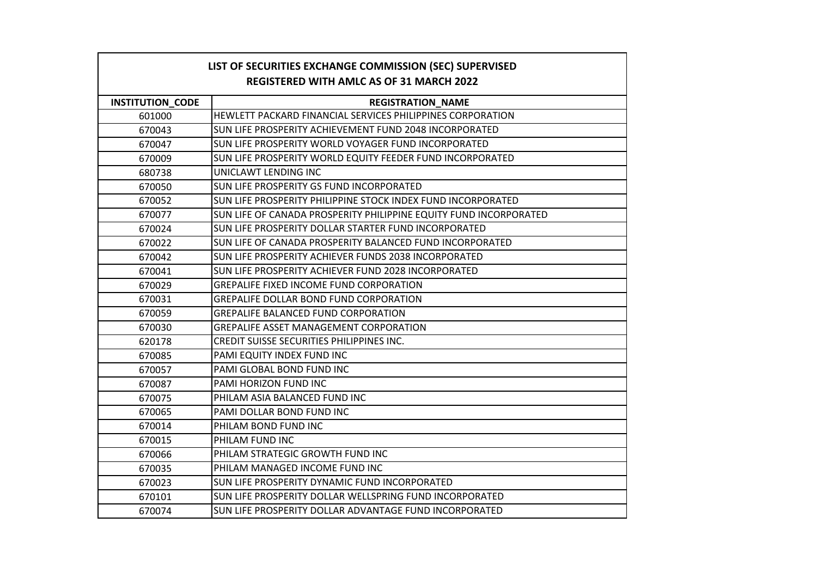| LIST OF SECURITIES EXCHANGE COMMISSION (SEC) SUPERVISED<br><b>REGISTERED WITH AMLC AS OF 31 MARCH 2022</b> |  |
|------------------------------------------------------------------------------------------------------------|--|
| <b>INSTITUTION CODE</b><br><b>REGISTRATION NAME</b>                                                        |  |
| HEWLETT PACKARD FINANCIAL SERVICES PHILIPPINES CORPORATION<br>601000                                       |  |
| SUN LIFE PROSPERITY ACHIEVEMENT FUND 2048 INCORPORATED<br>670043                                           |  |
| SUN LIFE PROSPERITY WORLD VOYAGER FUND INCORPORATED<br>670047                                              |  |
| SUN LIFE PROSPERITY WORLD EQUITY FEEDER FUND INCORPORATED<br>670009                                        |  |
| 680738<br>UNICLAWT LENDING INC                                                                             |  |
| SUN LIFE PROSPERITY GS FUND INCORPORATED<br>670050                                                         |  |
| 670052<br>SUN LIFE PROSPERITY PHILIPPINE STOCK INDEX FUND INCORPORATED                                     |  |
| 670077<br>SUN LIFE OF CANADA PROSPERITY PHILIPPINE EQUITY FUND INCORPORATED                                |  |
| SUN LIFE PROSPERITY DOLLAR STARTER FUND INCORPORATED<br>670024                                             |  |
| SUN LIFE OF CANADA PROSPERITY BALANCED FUND INCORPORATED<br>670022                                         |  |
| SUN LIFE PROSPERITY ACHIEVER FUNDS 2038 INCORPORATED<br>670042                                             |  |
| 670041<br>SUN LIFE PROSPERITY ACHIEVER FUND 2028 INCORPORATED                                              |  |
| <b>GREPALIFE FIXED INCOME FUND CORPORATION</b><br>670029                                                   |  |
| <b>GREPALIFE DOLLAR BOND FUND CORPORATION</b><br>670031                                                    |  |
| 670059<br><b>GREPALIFE BALANCED FUND CORPORATION</b>                                                       |  |
| <b>GREPALIFE ASSET MANAGEMENT CORPORATION</b><br>670030                                                    |  |
| <b>CREDIT SUISSE SECURITIES PHILIPPINES INC.</b><br>620178                                                 |  |
| PAMI EQUITY INDEX FUND INC<br>670085                                                                       |  |
| PAMI GLOBAL BOND FUND INC<br>670057                                                                        |  |
| PAMI HORIZON FUND INC<br>670087                                                                            |  |
| PHILAM ASIA BALANCED FUND INC<br>670075                                                                    |  |
| PAMI DOLLAR BOND FUND INC<br>670065                                                                        |  |
| PHILAM BOND FUND INC<br>670014                                                                             |  |
| PHILAM FUND INC<br>670015                                                                                  |  |
| PHILAM STRATEGIC GROWTH FUND INC<br>670066                                                                 |  |
| 670035<br>PHILAM MANAGED INCOME FUND INC                                                                   |  |
| SUN LIFE PROSPERITY DYNAMIC FUND INCORPORATED<br>670023                                                    |  |
| SUN LIFE PROSPERITY DOLLAR WELLSPRING FUND INCORPORATED<br>670101                                          |  |
| 670074<br>SUN LIFE PROSPERITY DOLLAR ADVANTAGE FUND INCORPORATED                                           |  |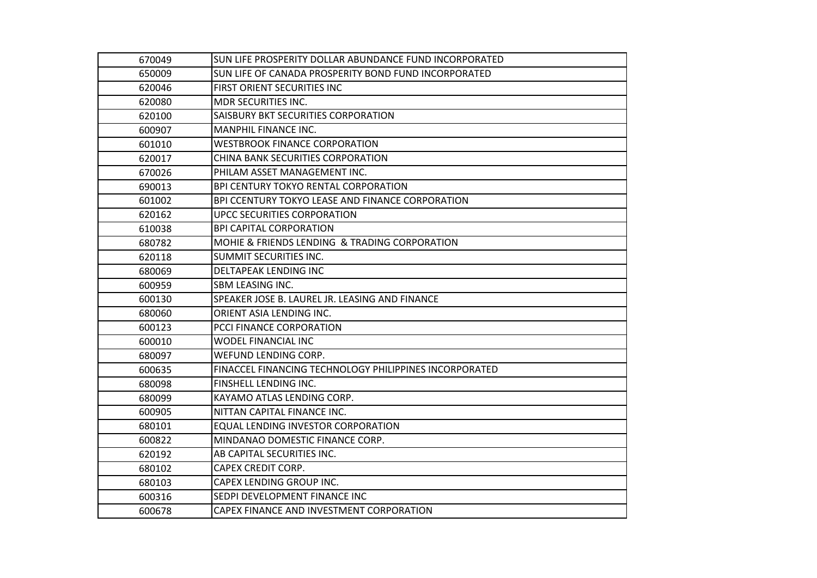| 670049 | SUN LIFE PROSPERITY DOLLAR ABUNDANCE FUND INCORPORATED |
|--------|--------------------------------------------------------|
| 650009 | SUN LIFE OF CANADA PROSPERITY BOND FUND INCORPORATED   |
| 620046 | FIRST ORIENT SECURITIES INC                            |
| 620080 | <b>MDR SECURITIES INC.</b>                             |
| 620100 | SAISBURY BKT SECURITIES CORPORATION                    |
| 600907 | <b>MANPHIL FINANCE INC.</b>                            |
| 601010 | <b>WESTBROOK FINANCE CORPORATION</b>                   |
| 620017 | CHINA BANK SECURITIES CORPORATION                      |
| 670026 | PHILAM ASSET MANAGEMENT INC.                           |
| 690013 | <b>BPI CENTURY TOKYO RENTAL CORPORATION</b>            |
| 601002 | BPI CCENTURY TOKYO LEASE AND FINANCE CORPORATION       |
| 620162 | UPCC SECURITIES CORPORATION                            |
| 610038 | <b>BPI CAPITAL CORPORATION</b>                         |
| 680782 | MOHIE & FRIENDS LENDING & TRADING CORPORATION          |
| 620118 | <b>SUMMIT SECURITIES INC.</b>                          |
| 680069 | DELTAPEAK LENDING INC                                  |
| 600959 | SBM LEASING INC.                                       |
| 600130 | SPEAKER JOSE B. LAUREL JR. LEASING AND FINANCE         |
| 680060 | ORIENT ASIA LENDING INC.                               |
| 600123 | <b>PCCI FINANCE CORPORATION</b>                        |
| 600010 | <b>WODEL FINANCIAL INC</b>                             |
| 680097 | WEFUND LENDING CORP.                                   |
| 600635 | FINACCEL FINANCING TECHNOLOGY PHILIPPINES INCORPORATED |
| 680098 | FINSHELL LENDING INC.                                  |
| 680099 | KAYAMO ATLAS LENDING CORP.                             |
| 600905 | NITTAN CAPITAL FINANCE INC.                            |
| 680101 | EQUAL LENDING INVESTOR CORPORATION                     |
| 600822 | MINDANAO DOMESTIC FINANCE CORP.                        |
| 620192 | AB CAPITAL SECURITIES INC.                             |
| 680102 | CAPEX CREDIT CORP.                                     |
| 680103 | CAPEX LENDING GROUP INC.                               |
| 600316 | SEDPI DEVELOPMENT FINANCE INC                          |
| 600678 | CAPEX FINANCE AND INVESTMENT CORPORATION               |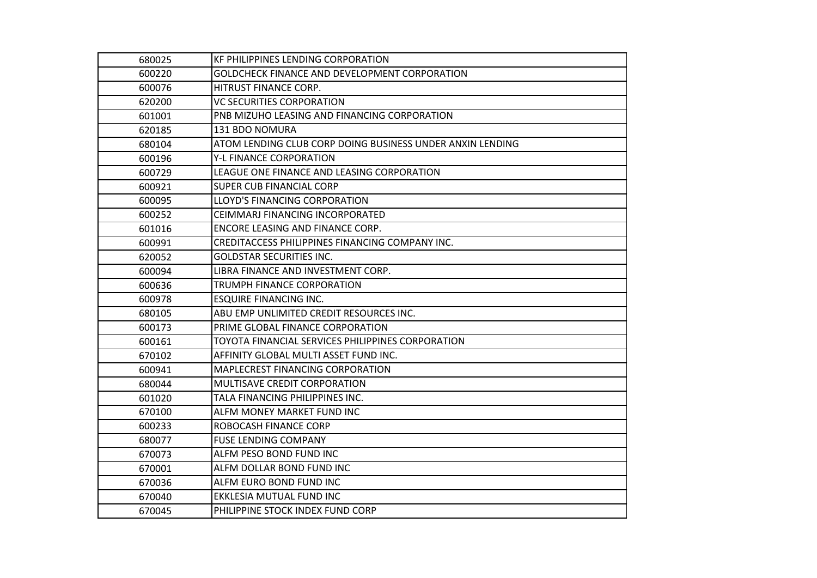| 680025 | <b>KF PHILIPPINES LENDING CORPORATION</b>                 |
|--------|-----------------------------------------------------------|
| 600220 | GOLDCHECK FINANCE AND DEVELOPMENT CORPORATION             |
| 600076 | HITRUST FINANCE CORP.                                     |
| 620200 | <b>VC SECURITIES CORPORATION</b>                          |
| 601001 | PNB MIZUHO LEASING AND FINANCING CORPORATION              |
| 620185 | 131 BDO NOMURA                                            |
| 680104 | ATOM LENDING CLUB CORP DOING BUSINESS UNDER ANXIN LENDING |
| 600196 | Y-L FINANCE CORPORATION                                   |
| 600729 | LEAGUE ONE FINANCE AND LEASING CORPORATION                |
| 600921 | <b>SUPER CUB FINANCIAL CORP</b>                           |
| 600095 | <b>LLOYD'S FINANCING CORPORATION</b>                      |
| 600252 | CEIMMARJ FINANCING INCORPORATED                           |
| 601016 | ENCORE LEASING AND FINANCE CORP.                          |
| 600991 | CREDITACCESS PHILIPPINES FINANCING COMPANY INC.           |
| 620052 | <b>GOLDSTAR SECURITIES INC.</b>                           |
| 600094 | LIBRA FINANCE AND INVESTMENT CORP.                        |
| 600636 | TRUMPH FINANCE CORPORATION                                |
| 600978 | <b>ESQUIRE FINANCING INC.</b>                             |
| 680105 | ABU EMP UNLIMITED CREDIT RESOURCES INC.                   |
| 600173 | PRIME GLOBAL FINANCE CORPORATION                          |
| 600161 | TOYOTA FINANCIAL SERVICES PHILIPPINES CORPORATION         |
| 670102 | AFFINITY GLOBAL MULTI ASSET FUND INC.                     |
| 600941 | <b>MAPLECREST FINANCING CORPORATION</b>                   |
| 680044 | MULTISAVE CREDIT CORPORATION                              |
| 601020 | TALA FINANCING PHILIPPINES INC.                           |
| 670100 | ALFM MONEY MARKET FUND INC                                |
| 600233 | ROBOCASH FINANCE CORP                                     |
| 680077 | <b>FUSE LENDING COMPANY</b>                               |
| 670073 | ALFM PESO BOND FUND INC                                   |
| 670001 | ALFM DOLLAR BOND FUND INC                                 |
| 670036 | ALFM EURO BOND FUND INC                                   |
| 670040 | EKKLESIA MUTUAL FUND INC                                  |
| 670045 | PHILIPPINE STOCK INDEX FUND CORP                          |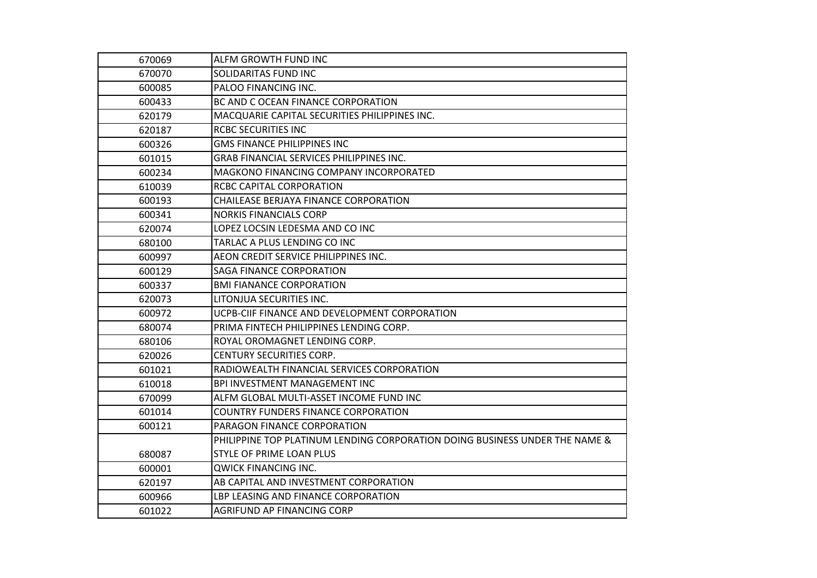| 670069 | ALFM GROWTH FUND INC                                                        |
|--------|-----------------------------------------------------------------------------|
| 670070 | <b>SOLIDARITAS FUND INC</b>                                                 |
| 600085 | <b>PALOO FINANCING INC.</b>                                                 |
| 600433 | BC AND C OCEAN FINANCE CORPORATION                                          |
| 620179 | MACQUARIE CAPITAL SECURITIES PHILIPPINES INC.                               |
| 620187 | <b>RCBC SECURITIES INC</b>                                                  |
| 600326 | <b>GMS FINANCE PHILIPPINES INC</b>                                          |
| 601015 | <b>GRAB FINANCIAL SERVICES PHILIPPINES INC.</b>                             |
| 600234 | MAGKONO FINANCING COMPANY INCORPORATED                                      |
| 610039 | <b>RCBC CAPITAL CORPORATION</b>                                             |
| 600193 | CHAILEASE BERJAYA FINANCE CORPORATION                                       |
| 600341 | <b>NORKIS FINANCIALS CORP</b>                                               |
| 620074 | LOPEZ LOCSIN LEDESMA AND CO INC                                             |
| 680100 | TARLAC A PLUS LENDING CO INC                                                |
| 600997 | AEON CREDIT SERVICE PHILIPPINES INC.                                        |
| 600129 | <b>SAGA FINANCE CORPORATION</b>                                             |
| 600337 | <b>BMI FIANANCE CORPORATION</b>                                             |
| 620073 | LITONJUA SECURITIES INC.                                                    |
| 600972 | UCPB-CIIF FINANCE AND DEVELOPMENT CORPORATION                               |
| 680074 | PRIMA FINTECH PHILIPPINES LENDING CORP.                                     |
| 680106 | ROYAL OROMAGNET LENDING CORP.                                               |
| 620026 | CENTURY SECURITIES CORP.                                                    |
| 601021 | RADIOWEALTH FINANCIAL SERVICES CORPORATION                                  |
| 610018 | BPI INVESTMENT MANAGEMENT INC                                               |
| 670099 | ALFM GLOBAL MULTI-ASSET INCOME FUND INC                                     |
| 601014 | COUNTRY FUNDERS FINANCE CORPORATION                                         |
| 600121 | PARAGON FINANCE CORPORATION                                                 |
|        | PHILIPPINE TOP PLATINUM LENDING CORPORATION DOING BUSINESS UNDER THE NAME & |
| 680087 | <b>STYLE OF PRIME LOAN PLUS</b>                                             |
| 600001 | QWICK FINANCING INC.                                                        |
| 620197 | AB CAPITAL AND INVESTMENT CORPORATION                                       |
| 600966 | LBP LEASING AND FINANCE CORPORATION                                         |
| 601022 | AGRIFUND AP FINANCING CORP                                                  |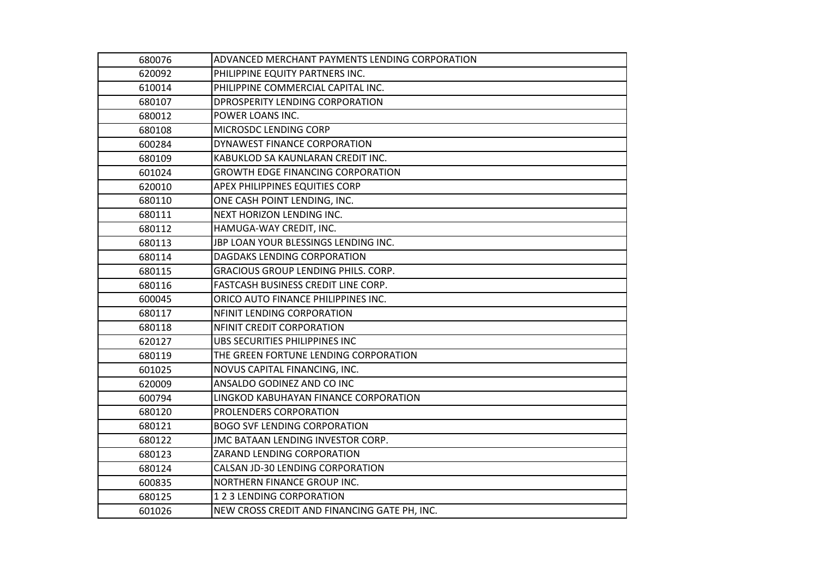| 680076 | ADVANCED MERCHANT PAYMENTS LENDING CORPORATION |
|--------|------------------------------------------------|
| 620092 | PHILIPPINE EQUITY PARTNERS INC.                |
| 610014 | PHILIPPINE COMMERCIAL CAPITAL INC.             |
| 680107 | DPROSPERITY LENDING CORPORATION                |
| 680012 | POWER LOANS INC.                               |
| 680108 | MICROSDC LENDING CORP                          |
| 600284 | DYNAWEST FINANCE CORPORATION                   |
| 680109 | KABUKLOD SA KAUNLARAN CREDIT INC.              |
| 601024 | <b>GROWTH EDGE FINANCING CORPORATION</b>       |
| 620010 | APEX PHILIPPINES EQUITIES CORP                 |
| 680110 | ONE CASH POINT LENDING, INC.                   |
| 680111 | NEXT HORIZON LENDING INC.                      |
| 680112 | HAMUGA-WAY CREDIT, INC.                        |
| 680113 | JBP LOAN YOUR BLESSINGS LENDING INC.           |
| 680114 | DAGDAKS LENDING CORPORATION                    |
| 680115 | <b>GRACIOUS GROUP LENDING PHILS. CORP.</b>     |
| 680116 | FASTCASH BUSINESS CREDIT LINE CORP.            |
| 600045 | ORICO AUTO FINANCE PHILIPPINES INC.            |
| 680117 | NFINIT LENDING CORPORATION                     |
| 680118 | NFINIT CREDIT CORPORATION                      |
| 620127 | UBS SECURITIES PHILIPPINES INC                 |
| 680119 | THE GREEN FORTUNE LENDING CORPORATION          |
| 601025 | NOVUS CAPITAL FINANCING, INC.                  |
| 620009 | ANSALDO GODINEZ AND CO INC                     |
| 600794 | LINGKOD KABUHAYAN FINANCE CORPORATION          |
| 680120 | PROLENDERS CORPORATION                         |
| 680121 | <b>BOGO SVF LENDING CORPORATION</b>            |
| 680122 | JMC BATAAN LENDING INVESTOR CORP.              |
| 680123 | ZARAND LENDING CORPORATION                     |
| 680124 | CALSAN JD-30 LENDING CORPORATION               |
| 600835 | NORTHERN FINANCE GROUP INC.                    |
| 680125 | 1 2 3 LENDING CORPORATION                      |
| 601026 | NEW CROSS CREDIT AND FINANCING GATE PH, INC.   |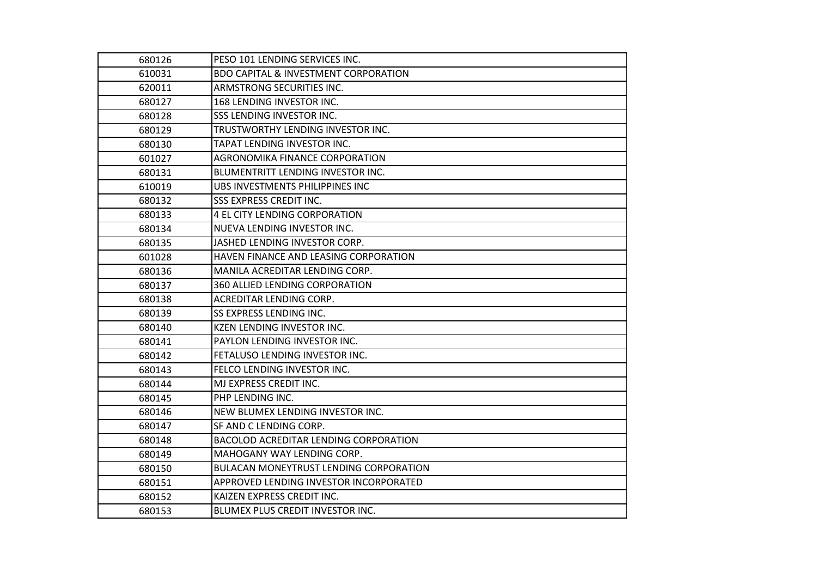| 680126 | PESO 101 LENDING SERVICES INC.                  |
|--------|-------------------------------------------------|
| 610031 | <b>BDO CAPITAL &amp; INVESTMENT CORPORATION</b> |
| 620011 | ARMSTRONG SECURITIES INC.                       |
| 680127 | 168 LENDING INVESTOR INC.                       |
| 680128 | SSS LENDING INVESTOR INC.                       |
| 680129 | TRUSTWORTHY LENDING INVESTOR INC.               |
| 680130 | TAPAT LENDING INVESTOR INC.                     |
| 601027 | AGRONOMIKA FINANCE CORPORATION                  |
| 680131 | <b>BLUMENTRITT LENDING INVESTOR INC.</b>        |
| 610019 | UBS INVESTMENTS PHILIPPINES INC                 |
| 680132 | <b>SSS EXPRESS CREDIT INC.</b>                  |
| 680133 | 4 EL CITY LENDING CORPORATION                   |
| 680134 | NUEVA LENDING INVESTOR INC.                     |
| 680135 | JASHED LENDING INVESTOR CORP.                   |
| 601028 | HAVEN FINANCE AND LEASING CORPORATION           |
| 680136 | MANILA ACREDITAR LENDING CORP.                  |
| 680137 | 360 ALLIED LENDING CORPORATION                  |
| 680138 | <b>ACREDITAR LENDING CORP.</b>                  |
| 680139 | <b>SS EXPRESS LENDING INC.</b>                  |
| 680140 | KZEN LENDING INVESTOR INC.                      |
| 680141 | PAYLON LENDING INVESTOR INC.                    |
| 680142 | FETALUSO LENDING INVESTOR INC.                  |
| 680143 | <b>FELCO LENDING INVESTOR INC.</b>              |
| 680144 | MJ EXPRESS CREDIT INC.                          |
| 680145 | PHP LENDING INC.                                |
| 680146 | NEW BLUMEX LENDING INVESTOR INC.                |
| 680147 | SF AND C LENDING CORP.                          |
| 680148 | <b>BACOLOD ACREDITAR LENDING CORPORATION</b>    |
| 680149 | MAHOGANY WAY LENDING CORP.                      |
| 680150 | <b>BULACAN MONEYTRUST LENDING CORPORATION</b>   |
| 680151 | APPROVED LENDING INVESTOR INCORPORATED          |
| 680152 | KAIZEN EXPRESS CREDIT INC.                      |
| 680153 | BLUMEX PLUS CREDIT INVESTOR INC.                |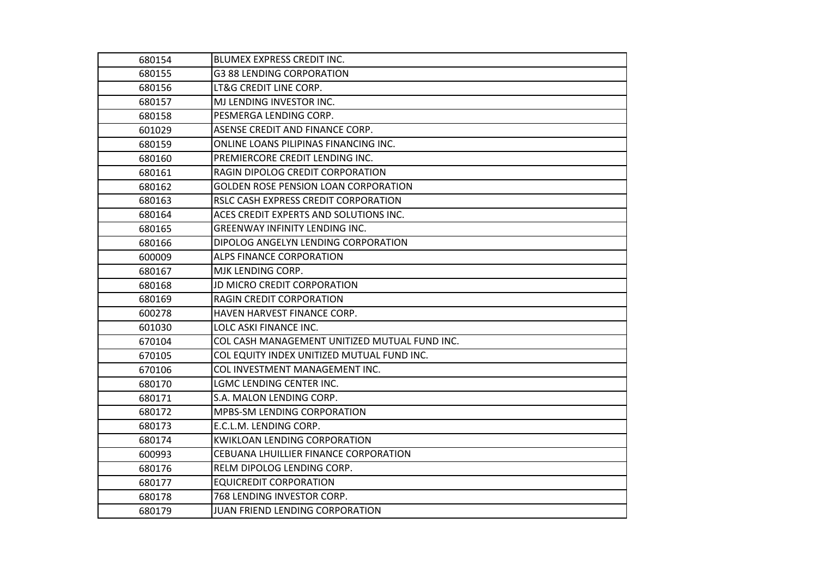| 680154 | BLUMEX EXPRESS CREDIT INC.                    |
|--------|-----------------------------------------------|
| 680155 | <b>G3 88 LENDING CORPORATION</b>              |
| 680156 | LT&G CREDIT LINE CORP.                        |
| 680157 | MJ LENDING INVESTOR INC.                      |
| 680158 | PESMERGA LENDING CORP.                        |
| 601029 | ASENSE CREDIT AND FINANCE CORP.               |
| 680159 | ONLINE LOANS PILIPINAS FINANCING INC.         |
| 680160 | PREMIERCORE CREDIT LENDING INC.               |
| 680161 | RAGIN DIPOLOG CREDIT CORPORATION              |
| 680162 | <b>GOLDEN ROSE PENSION LOAN CORPORATION</b>   |
| 680163 | RSLC CASH EXPRESS CREDIT CORPORATION          |
| 680164 | ACES CREDIT EXPERTS AND SOLUTIONS INC.        |
| 680165 | <b>GREENWAY INFINITY LENDING INC.</b>         |
| 680166 | DIPOLOG ANGELYN LENDING CORPORATION           |
| 600009 | <b>ALPS FINANCE CORPORATION</b>               |
| 680167 | MJK LENDING CORP.                             |
| 680168 | JD MICRO CREDIT CORPORATION                   |
| 680169 | <b>RAGIN CREDIT CORPORATION</b>               |
| 600278 | HAVEN HARVEST FINANCE CORP.                   |
| 601030 | LOLC ASKI FINANCE INC.                        |
| 670104 | COL CASH MANAGEMENT UNITIZED MUTUAL FUND INC. |
| 670105 | COL EQUITY INDEX UNITIZED MUTUAL FUND INC.    |
| 670106 | COL INVESTMENT MANAGEMENT INC.                |
| 680170 | LGMC LENDING CENTER INC.                      |
| 680171 | S.A. MALON LENDING CORP.                      |
| 680172 | <b>MPBS-SM LENDING CORPORATION</b>            |
| 680173 | E.C.L.M. LENDING CORP.                        |
| 680174 | <b>KWIKLOAN LENDING CORPORATION</b>           |
| 600993 | CEBUANA LHUILLIER FINANCE CORPORATION         |
| 680176 | RELM DIPOLOG LENDING CORP.                    |
| 680177 | <b>EQUICREDIT CORPORATION</b>                 |
| 680178 | 768 LENDING INVESTOR CORP.                    |
| 680179 | JUAN FRIEND LENDING CORPORATION               |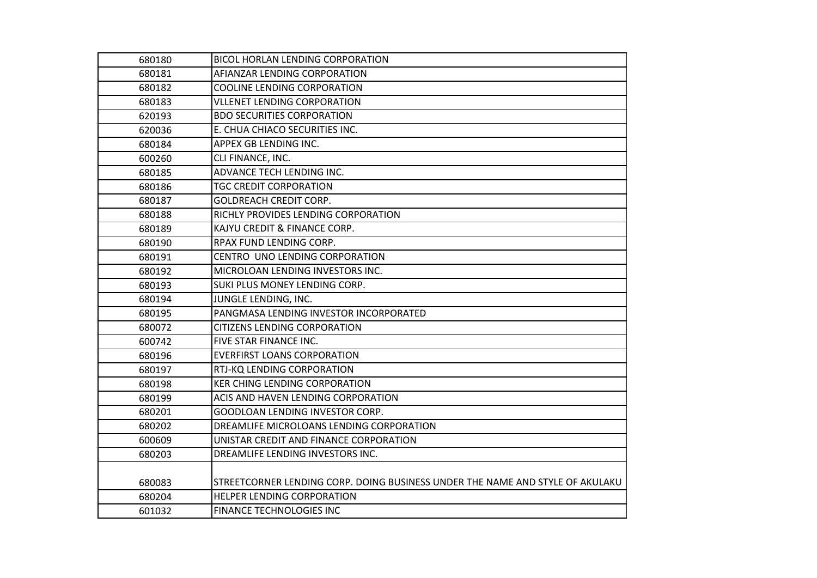| 680180 | <b>BICOL HORLAN LENDING CORPORATION</b>                                       |
|--------|-------------------------------------------------------------------------------|
| 680181 | AFIANZAR LENDING CORPORATION                                                  |
| 680182 | <b>COOLINE LENDING CORPORATION</b>                                            |
| 680183 | <b>VLLENET LENDING CORPORATION</b>                                            |
| 620193 | <b>BDO SECURITIES CORPORATION</b>                                             |
| 620036 | E. CHUA CHIACO SECURITIES INC.                                                |
| 680184 | APPEX GB LENDING INC.                                                         |
| 600260 | CLI FINANCE, INC.                                                             |
| 680185 | ADVANCE TECH LENDING INC.                                                     |
| 680186 | <b>TGC CREDIT CORPORATION</b>                                                 |
| 680187 | <b>GOLDREACH CREDIT CORP.</b>                                                 |
| 680188 | RICHLY PROVIDES LENDING CORPORATION                                           |
| 680189 | KAJYU CREDIT & FINANCE CORP.                                                  |
| 680190 | RPAX FUND LENDING CORP.                                                       |
| 680191 | CENTRO UNO LENDING CORPORATION                                                |
| 680192 | MICROLOAN LENDING INVESTORS INC.                                              |
| 680193 | SUKI PLUS MONEY LENDING CORP.                                                 |
| 680194 | JUNGLE LENDING, INC.                                                          |
| 680195 | PANGMASA LENDING INVESTOR INCORPORATED                                        |
| 680072 | <b>CITIZENS LENDING CORPORATION</b>                                           |
| 600742 | FIVE STAR FINANCE INC.                                                        |
| 680196 | <b>EVERFIRST LOANS CORPORATION</b>                                            |
| 680197 | RTJ-KQ LENDING CORPORATION                                                    |
| 680198 | <b>KER CHING LENDING CORPORATION</b>                                          |
| 680199 | ACIS AND HAVEN LENDING CORPORATION                                            |
| 680201 | GOODLOAN LENDING INVESTOR CORP.                                               |
| 680202 | DREAMLIFE MICROLOANS LENDING CORPORATION                                      |
| 600609 | UNISTAR CREDIT AND FINANCE CORPORATION                                        |
| 680203 | DREAMLIFE LENDING INVESTORS INC.                                              |
|        |                                                                               |
| 680083 | STREETCORNER LENDING CORP. DOING BUSINESS UNDER THE NAME AND STYLE OF AKULAKU |
| 680204 | <b>HELPER LENDING CORPORATION</b>                                             |
| 601032 | <b>FINANCE TECHNOLOGIES INC</b>                                               |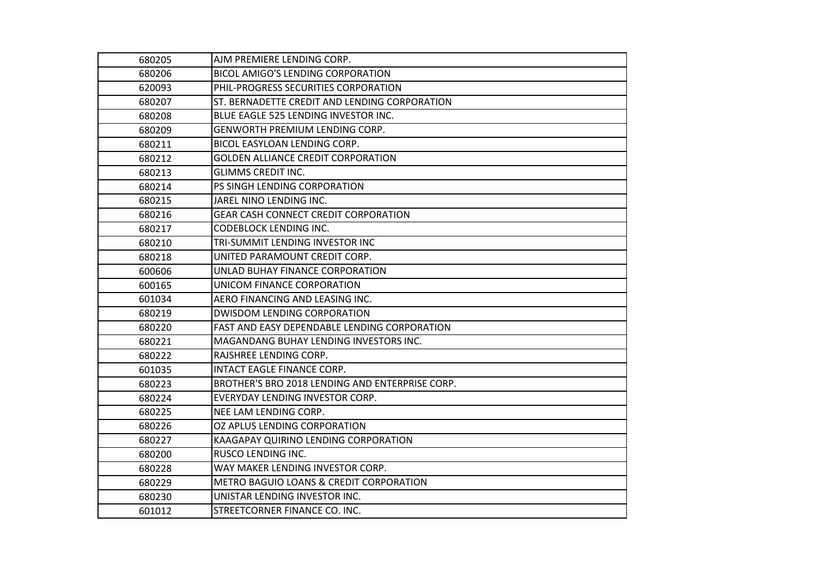| 680205 | AJM PREMIERE LENDING CORP.                      |
|--------|-------------------------------------------------|
| 680206 | <b>BICOL AMIGO'S LENDING CORPORATION</b>        |
| 620093 | PHIL-PROGRESS SECURITIES CORPORATION            |
| 680207 | ST. BERNADETTE CREDIT AND LENDING CORPORATION   |
| 680208 | BLUE EAGLE 525 LENDING INVESTOR INC.            |
| 680209 | GENWORTH PREMIUM LENDING CORP.                  |
| 680211 | BICOL EASYLOAN LENDING CORP.                    |
| 680212 | <b>GOLDEN ALLIANCE CREDIT CORPORATION</b>       |
| 680213 | <b>GLIMMS CREDIT INC.</b>                       |
| 680214 | PS SINGH LENDING CORPORATION                    |
| 680215 | JAREL NINO LENDING INC.                         |
| 680216 | <b>GEAR CASH CONNECT CREDIT CORPORATION</b>     |
| 680217 | <b>CODEBLOCK LENDING INC.</b>                   |
| 680210 | TRI-SUMMIT LENDING INVESTOR INC                 |
| 680218 | UNITED PARAMOUNT CREDIT CORP.                   |
| 600606 | UNLAD BUHAY FINANCE CORPORATION                 |
| 600165 | UNICOM FINANCE CORPORATION                      |
| 601034 | AERO FINANCING AND LEASING INC.                 |
| 680219 | <b>DWISDOM LENDING CORPORATION</b>              |
| 680220 | FAST AND EASY DEPENDABLE LENDING CORPORATION    |
| 680221 | MAGANDANG BUHAY LENDING INVESTORS INC.          |
| 680222 | RAJSHREE LENDING CORP.                          |
| 601035 | INTACT EAGLE FINANCE CORP.                      |
| 680223 | BROTHER'S BRO 2018 LENDING AND ENTERPRISE CORP. |
| 680224 | EVERYDAY LENDING INVESTOR CORP.                 |
| 680225 | NEE LAM LENDING CORP.                           |
| 680226 | OZ APLUS LENDING CORPORATION                    |
| 680227 | KAAGAPAY QUIRINO LENDING CORPORATION            |
| 680200 | RUSCO LENDING INC.                              |
| 680228 | WAY MAKER LENDING INVESTOR CORP.                |
| 680229 | METRO BAGUIO LOANS & CREDIT CORPORATION         |
| 680230 | UNISTAR LENDING INVESTOR INC.                   |
| 601012 | STREETCORNER FINANCE CO. INC.                   |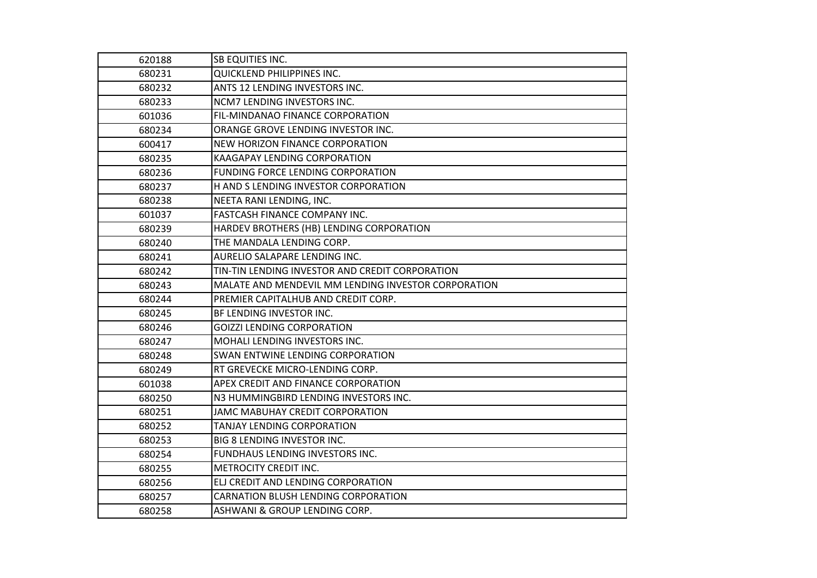| 620188 | SB EQUITIES INC.                                    |
|--------|-----------------------------------------------------|
| 680231 | QUICKLEND PHILIPPINES INC.                          |
| 680232 | ANTS 12 LENDING INVESTORS INC.                      |
| 680233 | NCM7 LENDING INVESTORS INC.                         |
| 601036 | FIL-MINDANAO FINANCE CORPORATION                    |
| 680234 | ORANGE GROVE LENDING INVESTOR INC.                  |
| 600417 | <b>NEW HORIZON FINANCE CORPORATION</b>              |
| 680235 | <b>KAAGAPAY LENDING CORPORATION</b>                 |
| 680236 | FUNDING FORCE LENDING CORPORATION                   |
| 680237 | H AND S LENDING INVESTOR CORPORATION                |
| 680238 | NEETA RANI LENDING, INC.                            |
| 601037 | <b>FASTCASH FINANCE COMPANY INC.</b>                |
| 680239 | HARDEV BROTHERS (HB) LENDING CORPORATION            |
| 680240 | THE MANDALA LENDING CORP.                           |
| 680241 | AURELIO SALAPARE LENDING INC.                       |
| 680242 | TIN-TIN LENDING INVESTOR AND CREDIT CORPORATION     |
| 680243 | MALATE AND MENDEVIL MM LENDING INVESTOR CORPORATION |
| 680244 | PREMIER CAPITALHUB AND CREDIT CORP.                 |
| 680245 | BF LENDING INVESTOR INC.                            |
| 680246 | <b>GOIZZI LENDING CORPORATION</b>                   |
| 680247 | MOHALI LENDING INVESTORS INC.                       |
| 680248 | SWAN ENTWINE LENDING CORPORATION                    |
| 680249 | RT GREVECKE MICRO-LENDING CORP.                     |
| 601038 | APEX CREDIT AND FINANCE CORPORATION                 |
| 680250 | N3 HUMMINGBIRD LENDING INVESTORS INC.               |
| 680251 | JAMC MABUHAY CREDIT CORPORATION                     |
| 680252 | TANJAY LENDING CORPORATION                          |
| 680253 | <b>BIG 8 LENDING INVESTOR INC.</b>                  |
| 680254 | FUNDHAUS LENDING INVESTORS INC.                     |
| 680255 | METROCITY CREDIT INC.                               |
| 680256 | ELJ CREDIT AND LENDING CORPORATION                  |
| 680257 | CARNATION BLUSH LENDING CORPORATION                 |
| 680258 | ASHWANI & GROUP LENDING CORP.                       |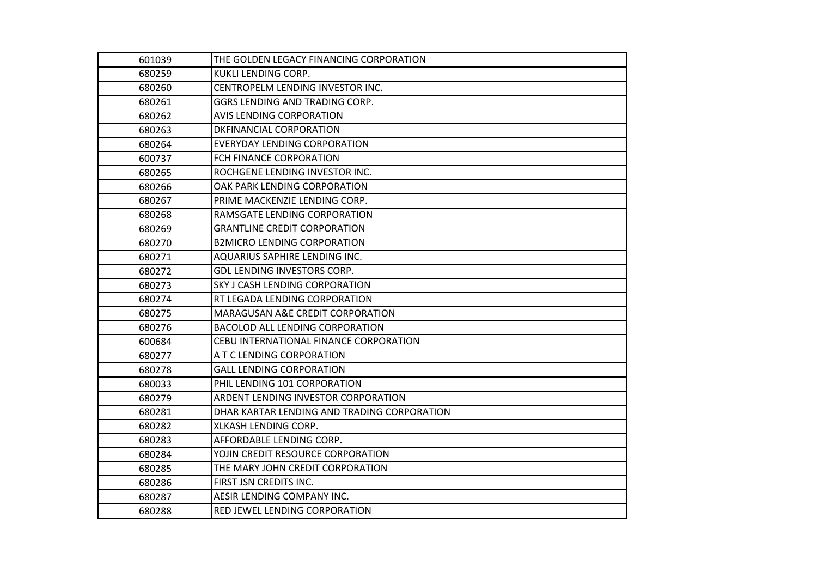| 601039 | THE GOLDEN LEGACY FINANCING CORPORATION     |
|--------|---------------------------------------------|
| 680259 | KUKLI LENDING CORP.                         |
| 680260 | CENTROPELM LENDING INVESTOR INC.            |
| 680261 | GGRS LENDING AND TRADING CORP.              |
| 680262 | <b>AVIS LENDING CORPORATION</b>             |
| 680263 | DKFINANCIAL CORPORATION                     |
| 680264 | <b>EVERYDAY LENDING CORPORATION</b>         |
| 600737 | FCH FINANCE CORPORATION                     |
| 680265 | ROCHGENE LENDING INVESTOR INC.              |
| 680266 | OAK PARK LENDING CORPORATION                |
| 680267 | PRIME MACKENZIE LENDING CORP.               |
| 680268 | RAMSGATE LENDING CORPORATION                |
| 680269 | <b>GRANTLINE CREDIT CORPORATION</b>         |
| 680270 | <b>B2MICRO LENDING CORPORATION</b>          |
| 680271 | AQUARIUS SAPHIRE LENDING INC.               |
| 680272 | GDL LENDING INVESTORS CORP.                 |
| 680273 | <b>SKY J CASH LENDING CORPORATION</b>       |
| 680274 | RT LEGADA LENDING CORPORATION               |
| 680275 | MARAGUSAN A&E CREDIT CORPORATION            |
| 680276 | BACOLOD ALL LENDING CORPORATION             |
| 600684 | CEBU INTERNATIONAL FINANCE CORPORATION      |
| 680277 | A T C LENDING CORPORATION                   |
| 680278 | <b>GALL LENDING CORPORATION</b>             |
| 680033 | PHIL LENDING 101 CORPORATION                |
| 680279 | ARDENT LENDING INVESTOR CORPORATION         |
| 680281 | DHAR KARTAR LENDING AND TRADING CORPORATION |
| 680282 | XLKASH LENDING CORP.                        |
| 680283 | AFFORDABLE LENDING CORP.                    |
| 680284 | YOJIN CREDIT RESOURCE CORPORATION           |
| 680285 | THE MARY JOHN CREDIT CORPORATION            |
| 680286 | FIRST JSN CREDITS INC.                      |
| 680287 | AESIR LENDING COMPANY INC.                  |
| 680288 | RED JEWEL LENDING CORPORATION               |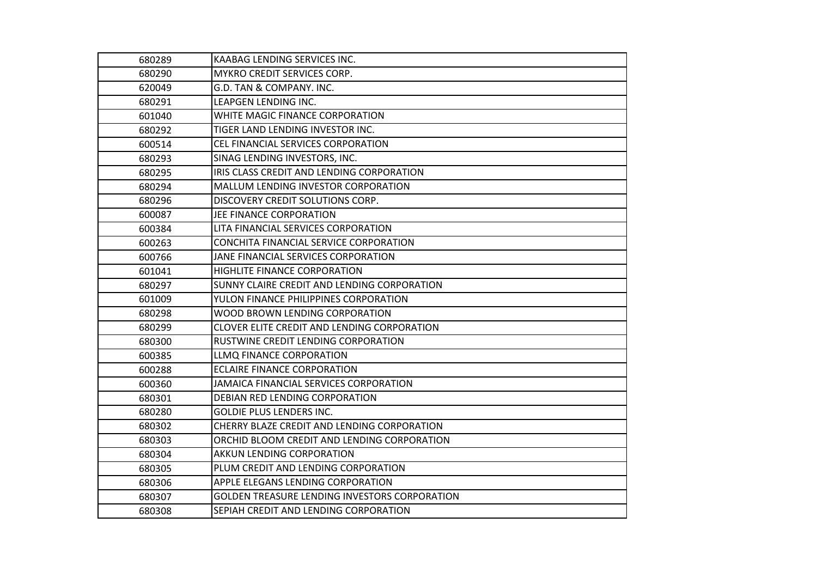| 680289 | KAABAG LENDING SERVICES INC.                  |
|--------|-----------------------------------------------|
| 680290 | <b>MYKRO CREDIT SERVICES CORP.</b>            |
| 620049 | G.D. TAN & COMPANY. INC.                      |
| 680291 | LEAPGEN LENDING INC.                          |
| 601040 | WHITE MAGIC FINANCE CORPORATION               |
| 680292 | TIGER LAND LENDING INVESTOR INC.              |
| 600514 | CEL FINANCIAL SERVICES CORPORATION            |
| 680293 | SINAG LENDING INVESTORS, INC.                 |
| 680295 | IRIS CLASS CREDIT AND LENDING CORPORATION     |
| 680294 | MALLUM LENDING INVESTOR CORPORATION           |
| 680296 | DISCOVERY CREDIT SOLUTIONS CORP.              |
| 600087 | JEE FINANCE CORPORATION                       |
| 600384 | LITA FINANCIAL SERVICES CORPORATION           |
| 600263 | CONCHITA FINANCIAL SERVICE CORPORATION        |
| 600766 | JANE FINANCIAL SERVICES CORPORATION           |
| 601041 | HIGHLITE FINANCE CORPORATION                  |
| 680297 | SUNNY CLAIRE CREDIT AND LENDING CORPORATION   |
| 601009 | YULON FINANCE PHILIPPINES CORPORATION         |
| 680298 | WOOD BROWN LENDING CORPORATION                |
| 680299 | CLOVER ELITE CREDIT AND LENDING CORPORATION   |
| 680300 | RUSTWINE CREDIT LENDING CORPORATION           |
| 600385 | LLMQ FINANCE CORPORATION                      |
| 600288 | <b>ECLAIRE FINANCE CORPORATION</b>            |
| 600360 | JAMAICA FINANCIAL SERVICES CORPORATION        |
| 680301 | DEBIAN RED LENDING CORPORATION                |
| 680280 | <b>GOLDIE PLUS LENDERS INC.</b>               |
| 680302 | CHERRY BLAZE CREDIT AND LENDING CORPORATION   |
| 680303 | ORCHID BLOOM CREDIT AND LENDING CORPORATION   |
| 680304 | <b>AKKUN LENDING CORPORATION</b>              |
| 680305 | PLUM CREDIT AND LENDING CORPORATION           |
| 680306 | APPLE ELEGANS LENDING CORPORATION             |
| 680307 | GOLDEN TREASURE LENDING INVESTORS CORPORATION |
| 680308 | SEPIAH CREDIT AND LENDING CORPORATION         |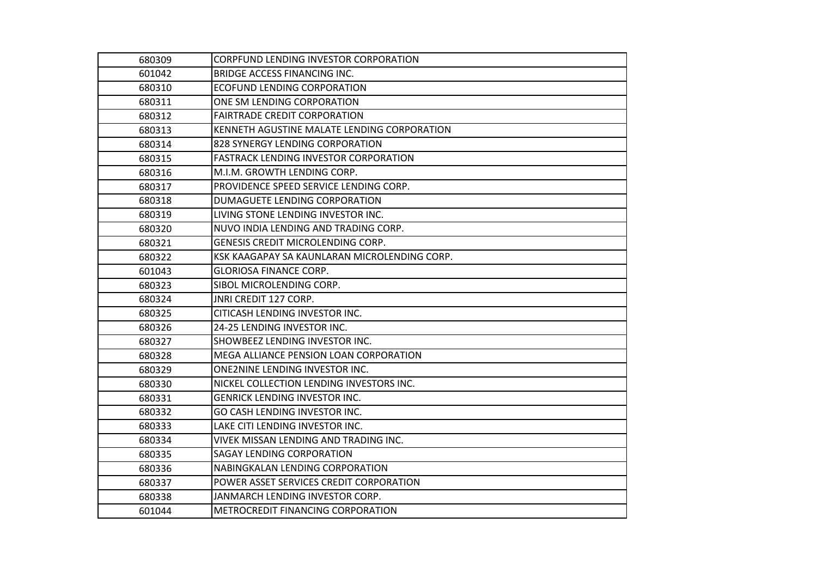| 680309 | <b>CORPFUND LENDING INVESTOR CORPORATION</b> |
|--------|----------------------------------------------|
| 601042 | <b>BRIDGE ACCESS FINANCING INC.</b>          |
| 680310 | <b>ECOFUND LENDING CORPORATION</b>           |
| 680311 | ONE SM LENDING CORPORATION                   |
| 680312 | <b>FAIRTRADE CREDIT CORPORATION</b>          |
| 680313 | KENNETH AGUSTINE MALATE LENDING CORPORATION  |
| 680314 | 828 SYNERGY LENDING CORPORATION              |
| 680315 | <b>FASTRACK LENDING INVESTOR CORPORATION</b> |
| 680316 | M.I.M. GROWTH LENDING CORP.                  |
| 680317 | PROVIDENCE SPEED SERVICE LENDING CORP.       |
| 680318 | DUMAGUETE LENDING CORPORATION                |
| 680319 | LIVING STONE LENDING INVESTOR INC.           |
| 680320 | NUVO INDIA LENDING AND TRADING CORP.         |
| 680321 | GENESIS CREDIT MICROLENDING CORP.            |
| 680322 | KSK KAAGAPAY SA KAUNLARAN MICROLENDING CORP. |
| 601043 | <b>GLORIOSA FINANCE CORP.</b>                |
| 680323 | SIBOL MICROLENDING CORP.                     |
| 680324 | JNRI CREDIT 127 CORP.                        |
| 680325 | CITICASH LENDING INVESTOR INC.               |
| 680326 | 24-25 LENDING INVESTOR INC.                  |
| 680327 | SHOWBEEZ LENDING INVESTOR INC.               |
| 680328 | MEGA ALLIANCE PENSION LOAN CORPORATION       |
| 680329 | ONE2NINE LENDING INVESTOR INC.               |
| 680330 | NICKEL COLLECTION LENDING INVESTORS INC.     |
| 680331 | <b>GENRICK LENDING INVESTOR INC.</b>         |
| 680332 | GO CASH LENDING INVESTOR INC.                |
| 680333 | LAKE CITI LENDING INVESTOR INC.              |
| 680334 | VIVEK MISSAN LENDING AND TRADING INC.        |
| 680335 | <b>SAGAY LENDING CORPORATION</b>             |
| 680336 | NABINGKALAN LENDING CORPORATION              |
| 680337 | POWER ASSET SERVICES CREDIT CORPORATION      |
| 680338 | JANMARCH LENDING INVESTOR CORP.              |
| 601044 | METROCREDIT FINANCING CORPORATION            |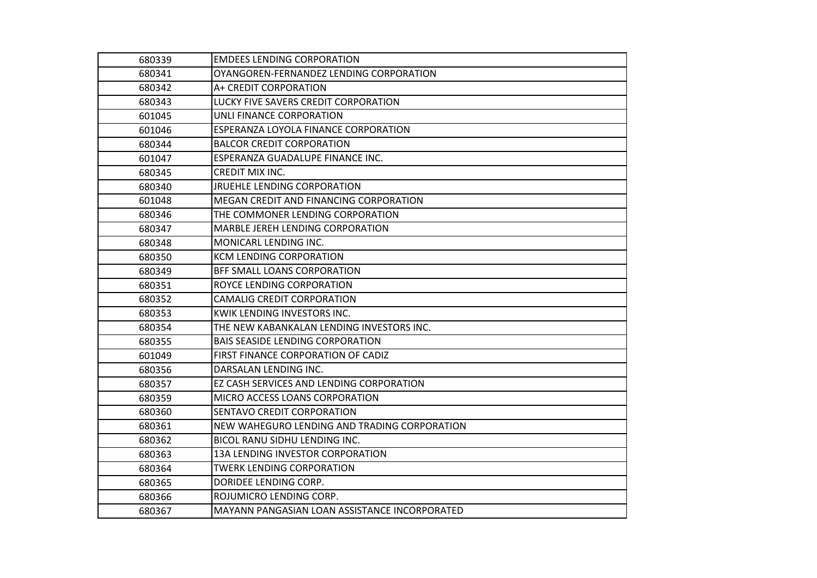| 680339 | <b>EMDEES LENDING CORPORATION</b>             |
|--------|-----------------------------------------------|
| 680341 | OYANGOREN-FERNANDEZ LENDING CORPORATION       |
| 680342 | A+ CREDIT CORPORATION                         |
| 680343 | LUCKY FIVE SAVERS CREDIT CORPORATION          |
| 601045 | UNLI FINANCE CORPORATION                      |
| 601046 | ESPERANZA LOYOLA FINANCE CORPORATION          |
| 680344 | <b>BALCOR CREDIT CORPORATION</b>              |
| 601047 | ESPERANZA GUADALUPE FINANCE INC.              |
| 680345 | CREDIT MIX INC.                               |
| 680340 | <b>JRUEHLE LENDING CORPORATION</b>            |
| 601048 | MEGAN CREDIT AND FINANCING CORPORATION        |
| 680346 | THE COMMONER LENDING CORPORATION              |
| 680347 | <b>MARBLE JEREH LENDING CORPORATION</b>       |
| 680348 | MONICARL LENDING INC.                         |
| 680350 | <b>KCM LENDING CORPORATION</b>                |
| 680349 | BFF SMALL LOANS CORPORATION                   |
| 680351 | <b>ROYCE LENDING CORPORATION</b>              |
| 680352 | <b>CAMALIG CREDIT CORPORATION</b>             |
| 680353 | KWIK LENDING INVESTORS INC.                   |
| 680354 | THE NEW KABANKALAN LENDING INVESTORS INC.     |
| 680355 | <b>BAIS SEASIDE LENDING CORPORATION</b>       |
| 601049 | FIRST FINANCE CORPORATION OF CADIZ            |
| 680356 | DARSALAN LENDING INC.                         |
| 680357 | EZ CASH SERVICES AND LENDING CORPORATION      |
| 680359 | MICRO ACCESS LOANS CORPORATION                |
| 680360 | SENTAVO CREDIT CORPORATION                    |
| 680361 | NEW WAHEGURO LENDING AND TRADING CORPORATION  |
| 680362 | BICOL RANU SIDHU LENDING INC.                 |
| 680363 | 13A LENDING INVESTOR CORPORATION              |
| 680364 | <b>TWERK LENDING CORPORATION</b>              |
| 680365 | DORIDEE LENDING CORP.                         |
| 680366 | ROJUMICRO LENDING CORP.                       |
| 680367 | MAYANN PANGASIAN LOAN ASSISTANCE INCORPORATED |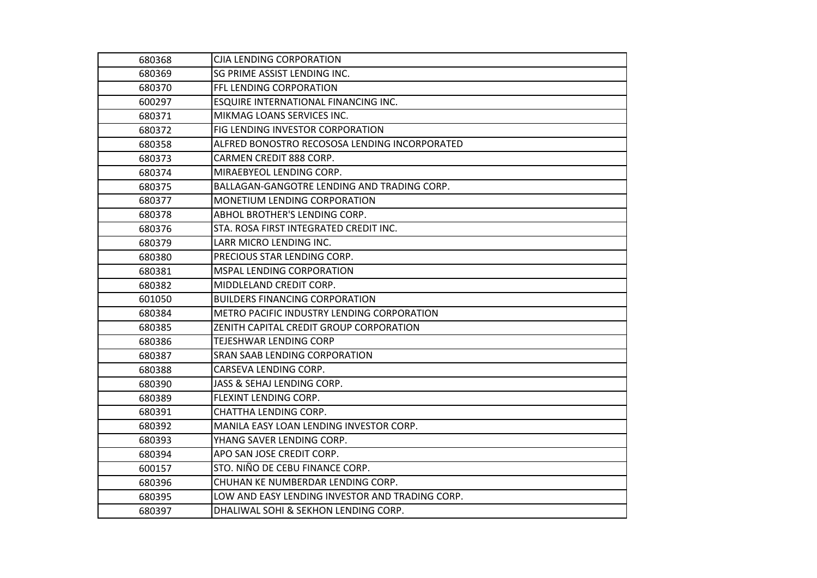| 680368 | CJIA LENDING CORPORATION                        |
|--------|-------------------------------------------------|
| 680369 | <b>SG PRIME ASSIST LENDING INC.</b>             |
| 680370 | FFL LENDING CORPORATION                         |
| 600297 | ESQUIRE INTERNATIONAL FINANCING INC.            |
| 680371 | MIKMAG LOANS SERVICES INC.                      |
| 680372 | FIG LENDING INVESTOR CORPORATION                |
| 680358 | ALFRED BONOSTRO RECOSOSA LENDING INCORPORATED   |
| 680373 | CARMEN CREDIT 888 CORP.                         |
| 680374 | MIRAEBYEOL LENDING CORP.                        |
| 680375 | BALLAGAN-GANGOTRE LENDING AND TRADING CORP.     |
| 680377 | MONETIUM LENDING CORPORATION                    |
| 680378 | ABHOL BROTHER'S LENDING CORP.                   |
| 680376 | STA. ROSA FIRST INTEGRATED CREDIT INC.          |
| 680379 | LARR MICRO LENDING INC.                         |
| 680380 | PRECIOUS STAR LENDING CORP.                     |
| 680381 | MSPAL LENDING CORPORATION                       |
| 680382 | MIDDLELAND CREDIT CORP.                         |
| 601050 | <b>BUILDERS FINANCING CORPORATION</b>           |
| 680384 | METRO PACIFIC INDUSTRY LENDING CORPORATION      |
| 680385 | ZENITH CAPITAL CREDIT GROUP CORPORATION         |
| 680386 | TEJESHWAR LENDING CORP                          |
| 680387 | SRAN SAAB LENDING CORPORATION                   |
| 680388 | CARSEVA LENDING CORP.                           |
| 680390 | JASS & SEHAJ LENDING CORP.                      |
| 680389 | FLEXINT LENDING CORP.                           |
| 680391 | CHATTHA LENDING CORP.                           |
| 680392 | MANILA EASY LOAN LENDING INVESTOR CORP.         |
| 680393 | YHANG SAVER LENDING CORP.                       |
| 680394 | APO SAN JOSE CREDIT CORP.                       |
| 600157 | STO. NIÑO DE CEBU FINANCE CORP.                 |
| 680396 | CHUHAN KE NUMBERDAR LENDING CORP.               |
| 680395 | LOW AND EASY LENDING INVESTOR AND TRADING CORP. |
| 680397 | DHALIWAL SOHI & SEKHON LENDING CORP.            |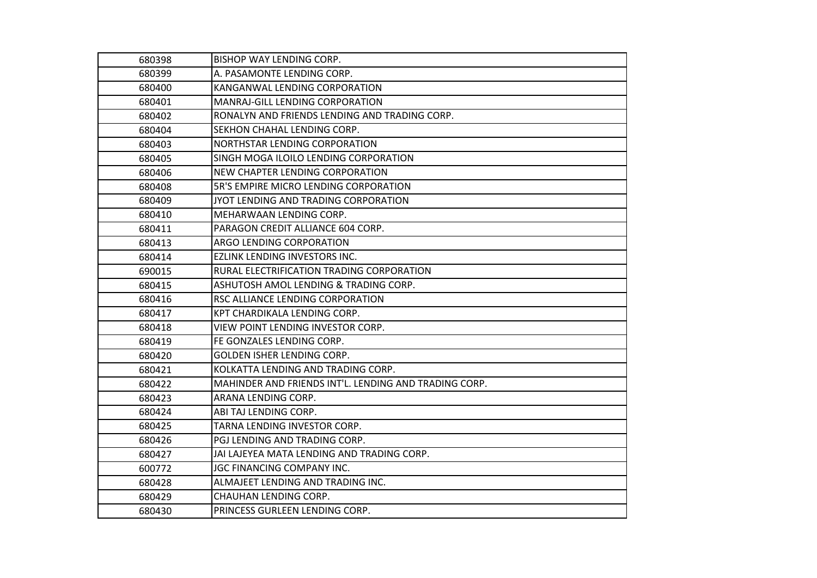| 680398 | BISHOP WAY LENDING CORP.                              |
|--------|-------------------------------------------------------|
| 680399 | A. PASAMONTE LENDING CORP.                            |
| 680400 | KANGANWAL LENDING CORPORATION                         |
| 680401 | MANRAJ-GILL LENDING CORPORATION                       |
| 680402 | RONALYN AND FRIENDS LENDING AND TRADING CORP.         |
| 680404 | SEKHON CHAHAL LENDING CORP.                           |
| 680403 | NORTHSTAR LENDING CORPORATION                         |
| 680405 | SINGH MOGA ILOILO LENDING CORPORATION                 |
| 680406 | NEW CHAPTER LENDING CORPORATION                       |
| 680408 | 5R'S EMPIRE MICRO LENDING CORPORATION                 |
| 680409 | JYOT LENDING AND TRADING CORPORATION                  |
| 680410 | MEHARWAAN LENDING CORP.                               |
| 680411 | PARAGON CREDIT ALLIANCE 604 CORP.                     |
| 680413 | <b>ARGO LENDING CORPORATION</b>                       |
| 680414 | EZLINK LENDING INVESTORS INC.                         |
| 690015 | RURAL ELECTRIFICATION TRADING CORPORATION             |
| 680415 | ASHUTOSH AMOL LENDING & TRADING CORP.                 |
| 680416 | RSC ALLIANCE LENDING CORPORATION                      |
| 680417 | KPT CHARDIKALA LENDING CORP.                          |
| 680418 | VIEW POINT LENDING INVESTOR CORP.                     |
| 680419 | FE GONZALES LENDING CORP.                             |
| 680420 | GOLDEN ISHER LENDING CORP.                            |
| 680421 | KOLKATTA LENDING AND TRADING CORP.                    |
| 680422 | MAHINDER AND FRIENDS INT'L. LENDING AND TRADING CORP. |
| 680423 | ARANA LENDING CORP.                                   |
| 680424 | ABI TAJ LENDING CORP.                                 |
| 680425 | TARNA LENDING INVESTOR CORP.                          |
| 680426 | PGJ LENDING AND TRADING CORP.                         |
| 680427 | JAI LAJEYEA MATA LENDING AND TRADING CORP.            |
| 600772 | JGC FINANCING COMPANY INC.                            |
| 680428 | ALMAJEET LENDING AND TRADING INC.                     |
| 680429 | CHAUHAN LENDING CORP.                                 |
| 680430 | PRINCESS GURLEEN LENDING CORP.                        |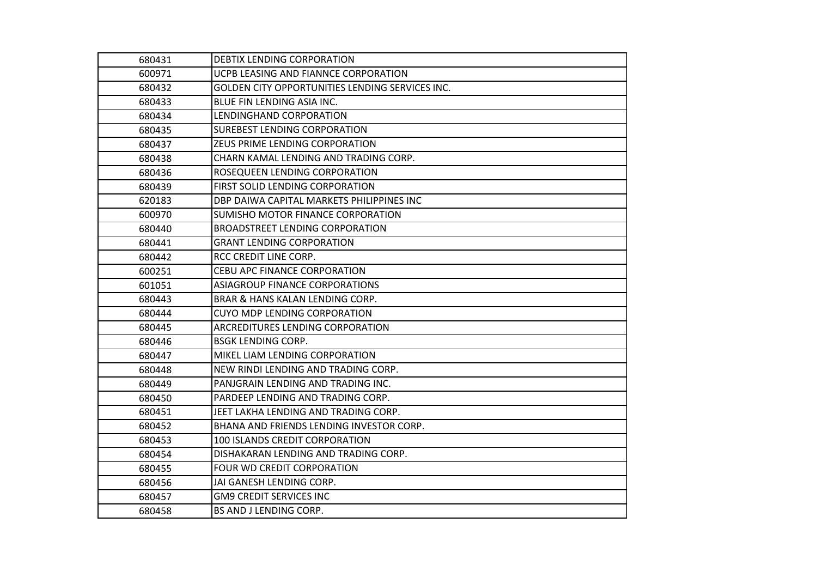| 680431 | DEBTIX LENDING CORPORATION                      |
|--------|-------------------------------------------------|
| 600971 | UCPB LEASING AND FIANNCE CORPORATION            |
| 680432 | GOLDEN CITY OPPORTUNITIES LENDING SERVICES INC. |
| 680433 | BLUE FIN LENDING ASIA INC.                      |
| 680434 | LENDINGHAND CORPORATION                         |
| 680435 | <b>SUREBEST LENDING CORPORATION</b>             |
| 680437 | ZEUS PRIME LENDING CORPORATION                  |
| 680438 | CHARN KAMAL LENDING AND TRADING CORP.           |
| 680436 | ROSEQUEEN LENDING CORPORATION                   |
| 680439 | FIRST SOLID LENDING CORPORATION                 |
| 620183 | DBP DAIWA CAPITAL MARKETS PHILIPPINES INC       |
| 600970 | SUMISHO MOTOR FINANCE CORPORATION               |
| 680440 | BROADSTREET LENDING CORPORATION                 |
| 680441 | <b>GRANT LENDING CORPORATION</b>                |
| 680442 | RCC CREDIT LINE CORP.                           |
| 600251 | <b>CEBU APC FINANCE CORPORATION</b>             |
| 601051 | <b>ASIAGROUP FINANCE CORPORATIONS</b>           |
| 680443 | BRAR & HANS KALAN LENDING CORP.                 |
| 680444 | <b>CUYO MDP LENDING CORPORATION</b>             |
| 680445 | ARCREDITURES LENDING CORPORATION                |
| 680446 | <b>BSGK LENDING CORP.</b>                       |
| 680447 | MIKEL LIAM LENDING CORPORATION                  |
| 680448 | NEW RINDI LENDING AND TRADING CORP.             |
| 680449 | PANJGRAIN LENDING AND TRADING INC.              |
| 680450 | PARDEEP LENDING AND TRADING CORP.               |
| 680451 | JEET LAKHA LENDING AND TRADING CORP.            |
| 680452 | BHANA AND FRIENDS LENDING INVESTOR CORP.        |
| 680453 | 100 ISLANDS CREDIT CORPORATION                  |
| 680454 | DISHAKARAN LENDING AND TRADING CORP.            |
| 680455 | FOUR WD CREDIT CORPORATION                      |
| 680456 | JAI GANESH LENDING CORP.                        |
| 680457 | <b>GM9 CREDIT SERVICES INC</b>                  |
| 680458 | <b>BS AND J LENDING CORP.</b>                   |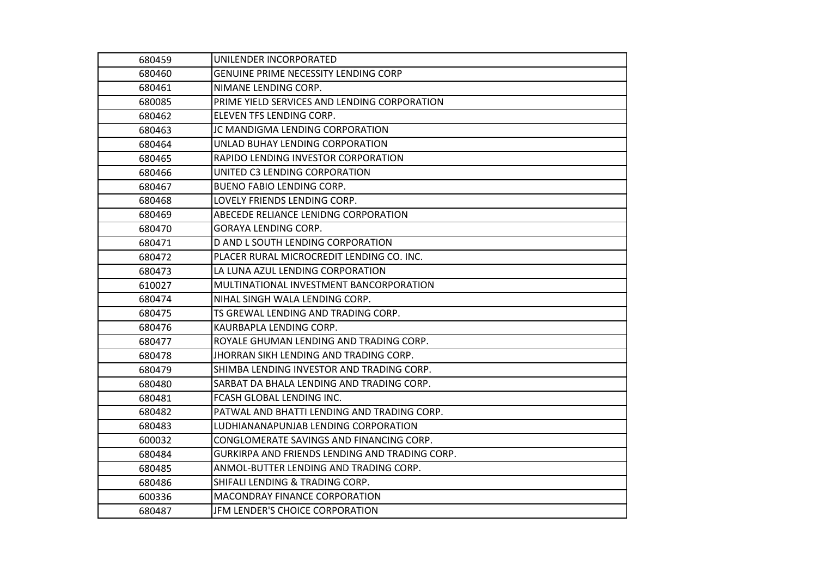| 680459 | UNILENDER INCORPORATED                         |
|--------|------------------------------------------------|
| 680460 | GENUINE PRIME NECESSITY LENDING CORP           |
| 680461 | NIMANE LENDING CORP.                           |
| 680085 | PRIME YIELD SERVICES AND LENDING CORPORATION   |
| 680462 | ELEVEN TFS LENDING CORP.                       |
| 680463 | JC MANDIGMA LENDING CORPORATION                |
| 680464 | UNLAD BUHAY LENDING CORPORATION                |
| 680465 | RAPIDO LENDING INVESTOR CORPORATION            |
| 680466 | UNITED C3 LENDING CORPORATION                  |
| 680467 | <b>BUENO FABIO LENDING CORP.</b>               |
| 680468 | LOVELY FRIENDS LENDING CORP.                   |
| 680469 | ABECEDE RELIANCE LENIDNG CORPORATION           |
| 680470 | <b>GORAYA LENDING CORP.</b>                    |
| 680471 | D AND L SOUTH LENDING CORPORATION              |
| 680472 | PLACER RURAL MICROCREDIT LENDING CO. INC.      |
| 680473 | LA LUNA AZUL LENDING CORPORATION               |
| 610027 | MULTINATIONAL INVESTMENT BANCORPORATION        |
| 680474 | NIHAL SINGH WALA LENDING CORP.                 |
| 680475 | TS GREWAL LENDING AND TRADING CORP.            |
| 680476 | KAURBAPLA LENDING CORP.                        |
| 680477 | ROYALE GHUMAN LENDING AND TRADING CORP.        |
| 680478 | JHORRAN SIKH LENDING AND TRADING CORP.         |
| 680479 | SHIMBA LENDING INVESTOR AND TRADING CORP.      |
| 680480 | SARBAT DA BHALA LENDING AND TRADING CORP.      |
| 680481 | <b>FCASH GLOBAL LENDING INC.</b>               |
| 680482 | PATWAL AND BHATTI LENDING AND TRADING CORP.    |
| 680483 | LUDHIANANAPUNJAB LENDING CORPORATION           |
| 600032 | CONGLOMERATE SAVINGS AND FINANCING CORP.       |
| 680484 | GURKIRPA AND FRIENDS LENDING AND TRADING CORP. |
| 680485 | ANMOL-BUTTER LENDING AND TRADING CORP.         |
| 680486 | SHIFALI LENDING & TRADING CORP.                |
| 600336 | MACONDRAY FINANCE CORPORATION                  |
| 680487 | JFM LENDER'S CHOICE CORPORATION                |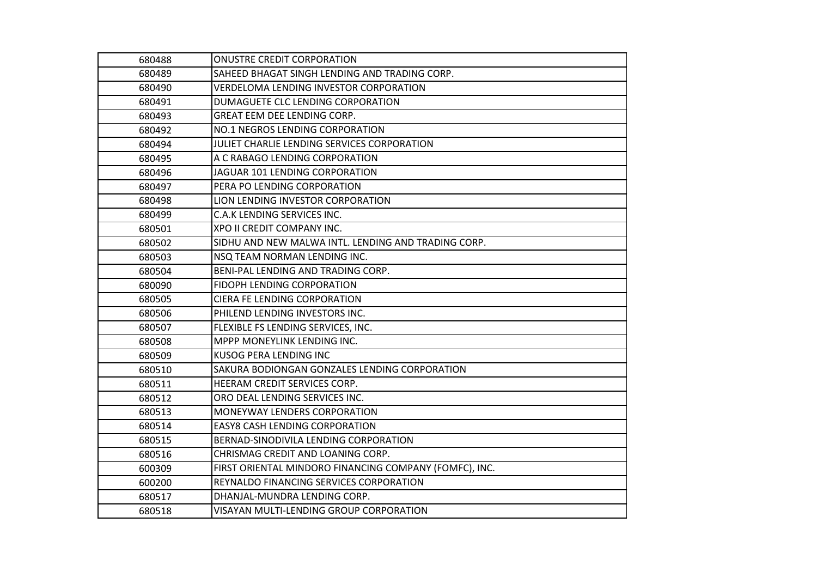| 680488 | <b>ONUSTRE CREDIT CORPORATION</b>                      |
|--------|--------------------------------------------------------|
| 680489 | SAHEED BHAGAT SINGH LENDING AND TRADING CORP.          |
| 680490 | VERDELOMA LENDING INVESTOR CORPORATION                 |
| 680491 | DUMAGUETE CLC LENDING CORPORATION                      |
| 680493 | GREAT EEM DEE LENDING CORP.                            |
| 680492 | NO.1 NEGROS LENDING CORPORATION                        |
| 680494 | JULIET CHARLIE LENDING SERVICES CORPORATION            |
| 680495 | A C RABAGO LENDING CORPORATION                         |
| 680496 | JAGUAR 101 LENDING CORPORATION                         |
| 680497 | PERA PO LENDING CORPORATION                            |
| 680498 | LION LENDING INVESTOR CORPORATION                      |
| 680499 | C.A.K LENDING SERVICES INC.                            |
| 680501 | XPO II CREDIT COMPANY INC.                             |
| 680502 | SIDHU AND NEW MALWA INTL. LENDING AND TRADING CORP.    |
| 680503 | NSQ TEAM NORMAN LENDING INC.                           |
| 680504 | BENI-PAL LENDING AND TRADING CORP.                     |
| 680090 | <b>FIDOPH LENDING CORPORATION</b>                      |
| 680505 | <b>CIERA FE LENDING CORPORATION</b>                    |
| 680506 | PHILEND LENDING INVESTORS INC.                         |
| 680507 | FLEXIBLE FS LENDING SERVICES, INC.                     |
| 680508 | <b>MPPP MONEYLINK LENDING INC.</b>                     |
| 680509 | <b>KUSOG PERA LENDING INC</b>                          |
| 680510 | SAKURA BODIONGAN GONZALES LENDING CORPORATION          |
| 680511 | HEERAM CREDIT SERVICES CORP.                           |
| 680512 | ORO DEAL LENDING SERVICES INC.                         |
| 680513 | MONEYWAY LENDERS CORPORATION                           |
| 680514 | <b>EASY8 CASH LENDING CORPORATION</b>                  |
| 680515 | BERNAD-SINODIVILA LENDING CORPORATION                  |
| 680516 | CHRISMAG CREDIT AND LOANING CORP.                      |
| 600309 | FIRST ORIENTAL MINDORO FINANCING COMPANY (FOMFC), INC. |
| 600200 | REYNALDO FINANCING SERVICES CORPORATION                |
| 680517 | DHANJAL-MUNDRA LENDING CORP.                           |
| 680518 | VISAYAN MULTI-LENDING GROUP CORPORATION                |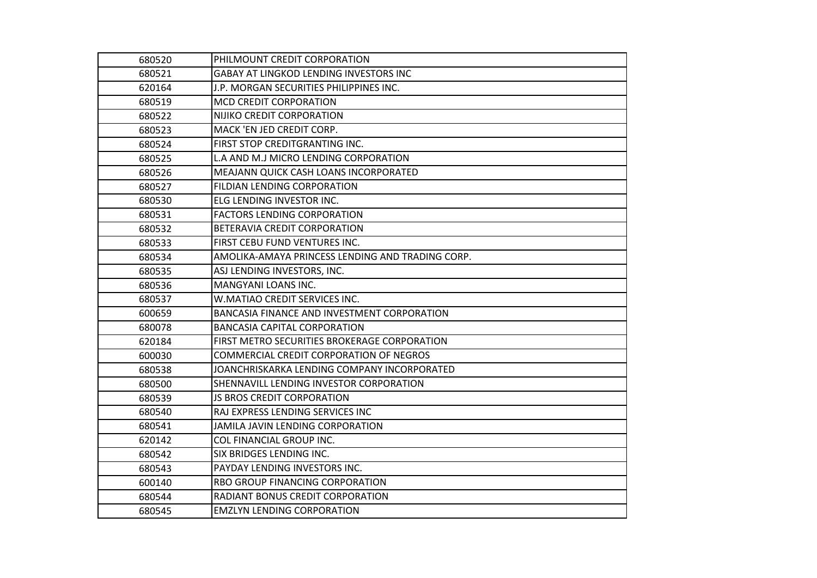| 680520 | PHILMOUNT CREDIT CORPORATION                     |
|--------|--------------------------------------------------|
| 680521 | GABAY AT LINGKOD LENDING INVESTORS INC           |
| 620164 | J.P. MORGAN SECURITIES PHILIPPINES INC.          |
| 680519 | <b>MCD CREDIT CORPORATION</b>                    |
| 680522 | NIJIKO CREDIT CORPORATION                        |
| 680523 | MACK 'EN JED CREDIT CORP.                        |
| 680524 | FIRST STOP CREDITGRANTING INC.                   |
| 680525 | L.A AND M.J MICRO LENDING CORPORATION            |
| 680526 | <b>MEAJANN QUICK CASH LOANS INCORPORATED</b>     |
| 680527 | FILDIAN LENDING CORPORATION                      |
| 680530 | ELG LENDING INVESTOR INC.                        |
| 680531 | <b>FACTORS LENDING CORPORATION</b>               |
| 680532 | <b>BETERAVIA CREDIT CORPORATION</b>              |
| 680533 | FIRST CEBU FUND VENTURES INC.                    |
| 680534 | AMOLIKA-AMAYA PRINCESS LENDING AND TRADING CORP. |
| 680535 | ASJ LENDING INVESTORS, INC.                      |
| 680536 | MANGYANI LOANS INC.                              |
| 680537 | W.MATIAO CREDIT SERVICES INC.                    |
| 600659 | BANCASIA FINANCE AND INVESTMENT CORPORATION      |
| 680078 | <b>BANCASIA CAPITAL CORPORATION</b>              |
| 620184 | FIRST METRO SECURITIES BROKERAGE CORPORATION     |
| 600030 | COMMERCIAL CREDIT CORPORATION OF NEGROS          |
| 680538 | JOANCHRISKARKA LENDING COMPANY INCORPORATED      |
| 680500 | SHENNAVILL LENDING INVESTOR CORPORATION          |
| 680539 | <b>JS BROS CREDIT CORPORATION</b>                |
| 680540 | RAJ EXPRESS LENDING SERVICES INC                 |
| 680541 | JAMILA JAVIN LENDING CORPORATION                 |
| 620142 | COL FINANCIAL GROUP INC.                         |
| 680542 | SIX BRIDGES LENDING INC.                         |
| 680543 | PAYDAY LENDING INVESTORS INC.                    |
| 600140 | <b>RBO GROUP FINANCING CORPORATION</b>           |
| 680544 | RADIANT BONUS CREDIT CORPORATION                 |
| 680545 | <b>EMZLYN LENDING CORPORATION</b>                |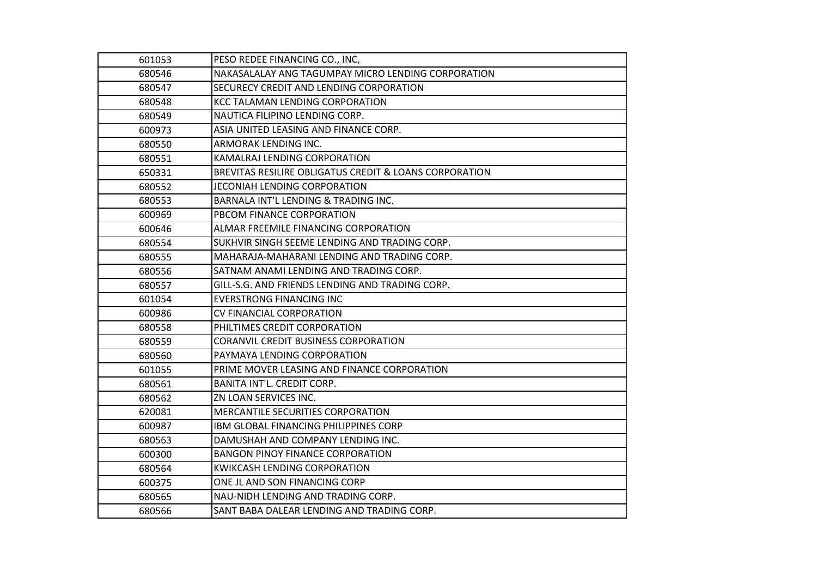| 601053 | PESO REDEE FINANCING CO., INC,                         |
|--------|--------------------------------------------------------|
| 680546 | NAKASALALAY ANG TAGUMPAY MICRO LENDING CORPORATION     |
| 680547 | SECURECY CREDIT AND LENDING CORPORATION                |
| 680548 | <b>KCC TALAMAN LENDING CORPORATION</b>                 |
| 680549 | NAUTICA FILIPINO LENDING CORP.                         |
| 600973 | ASIA UNITED LEASING AND FINANCE CORP.                  |
| 680550 | ARMORAK LENDING INC.                                   |
| 680551 | KAMALRAJ LENDING CORPORATION                           |
| 650331 | BREVITAS RESILIRE OBLIGATUS CREDIT & LOANS CORPORATION |
| 680552 | JECONIAH LENDING CORPORATION                           |
| 680553 | BARNALA INT'L LENDING & TRADING INC.                   |
| 600969 | PBCOM FINANCE CORPORATION                              |
| 600646 | ALMAR FREEMILE FINANCING CORPORATION                   |
| 680554 | SUKHVIR SINGH SEEME LENDING AND TRADING CORP.          |
| 680555 | MAHARAJA-MAHARANI LENDING AND TRADING CORP.            |
| 680556 | SATNAM ANAMI LENDING AND TRADING CORP.                 |
| 680557 | GILL-S.G. AND FRIENDS LENDING AND TRADING CORP.        |
| 601054 | <b>EVERSTRONG FINANCING INC</b>                        |
| 600986 | <b>CV FINANCIAL CORPORATION</b>                        |
| 680558 | PHILTIMES CREDIT CORPORATION                           |
| 680559 | <b>CORANVIL CREDIT BUSINESS CORPORATION</b>            |
| 680560 | PAYMAYA LENDING CORPORATION                            |
| 601055 | PRIME MOVER LEASING AND FINANCE CORPORATION            |
| 680561 | BANITA INT'L. CREDIT CORP.                             |
| 680562 | ZN LOAN SERVICES INC.                                  |
| 620081 | MERCANTILE SECURITIES CORPORATION                      |
| 600987 | IBM GLOBAL FINANCING PHILIPPINES CORP                  |
| 680563 | DAMUSHAH AND COMPANY LENDING INC.                      |
| 600300 | <b>BANGON PINOY FINANCE CORPORATION</b>                |
| 680564 | KWIKCASH LENDING CORPORATION                           |
| 600375 | ONE JL AND SON FINANCING CORP                          |
| 680565 | NAU-NIDH LENDING AND TRADING CORP.                     |
| 680566 | SANT BABA DALEAR LENDING AND TRADING CORP.             |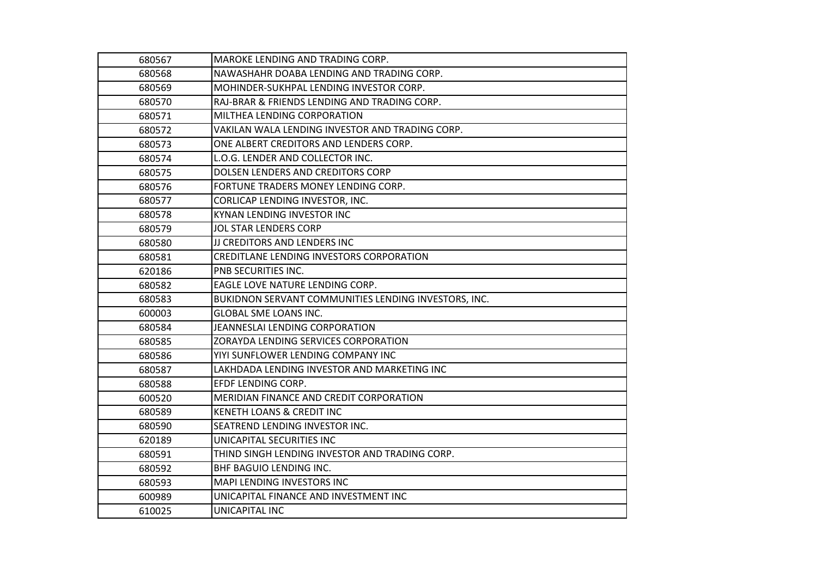| 680567 | MAROKE LENDING AND TRADING CORP.                     |
|--------|------------------------------------------------------|
| 680568 | NAWASHAHR DOABA LENDING AND TRADING CORP.            |
| 680569 | MOHINDER-SUKHPAL LENDING INVESTOR CORP.              |
| 680570 | RAJ-BRAR & FRIENDS LENDING AND TRADING CORP.         |
| 680571 | MILTHEA LENDING CORPORATION                          |
| 680572 | VAKILAN WALA LENDING INVESTOR AND TRADING CORP.      |
| 680573 | ONE ALBERT CREDITORS AND LENDERS CORP.               |
| 680574 | L.O.G. LENDER AND COLLECTOR INC.                     |
| 680575 | DOLSEN LENDERS AND CREDITORS CORP                    |
| 680576 | FORTUNE TRADERS MONEY LENDING CORP.                  |
| 680577 | CORLICAP LENDING INVESTOR, INC.                      |
| 680578 | KYNAN LENDING INVESTOR INC                           |
| 680579 | JOL STAR LENDERS CORP                                |
| 680580 | JJ CREDITORS AND LENDERS INC                         |
| 680581 | CREDITLANE LENDING INVESTORS CORPORATION             |
| 620186 | PNB SECURITIES INC.                                  |
| 680582 | EAGLE LOVE NATURE LENDING CORP.                      |
| 680583 | BUKIDNON SERVANT COMMUNITIES LENDING INVESTORS, INC. |
| 600003 | <b>GLOBAL SME LOANS INC.</b>                         |
| 680584 | JEANNESLAI LENDING CORPORATION                       |
| 680585 | ZORAYDA LENDING SERVICES CORPORATION                 |
| 680586 | YIYI SUNFLOWER LENDING COMPANY INC                   |
| 680587 | LAKHDADA LENDING INVESTOR AND MARKETING INC          |
| 680588 | EFDF LENDING CORP.                                   |
| 600520 | MERIDIAN FINANCE AND CREDIT CORPORATION              |
| 680589 | KENETH LOANS & CREDIT INC                            |
| 680590 | SEATREND LENDING INVESTOR INC.                       |
| 620189 | UNICAPITAL SECURITIES INC                            |
| 680591 | THIND SINGH LENDING INVESTOR AND TRADING CORP.       |
| 680592 | BHF BAGUIO LENDING INC.                              |
| 680593 | MAPI LENDING INVESTORS INC                           |
| 600989 | UNICAPITAL FINANCE AND INVESTMENT INC                |
| 610025 | UNICAPITAL INC                                       |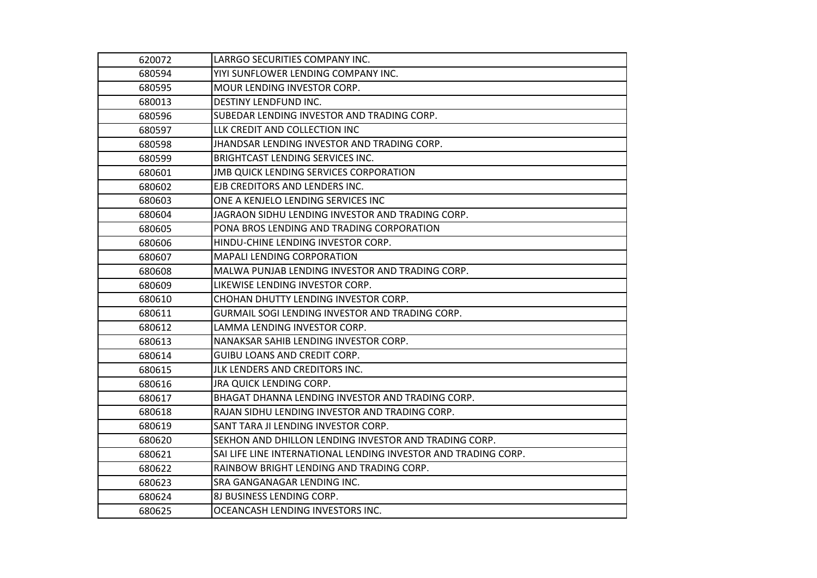| 620072 | LARRGO SECURITIES COMPANY INC.                                 |
|--------|----------------------------------------------------------------|
| 680594 | YIYI SUNFLOWER LENDING COMPANY INC.                            |
| 680595 | MOUR LENDING INVESTOR CORP.                                    |
| 680013 | <b>DESTINY LENDFUND INC.</b>                                   |
| 680596 | SUBEDAR LENDING INVESTOR AND TRADING CORP.                     |
| 680597 | LLK CREDIT AND COLLECTION INC                                  |
| 680598 | JHANDSAR LENDING INVESTOR AND TRADING CORP.                    |
| 680599 | <b>BRIGHTCAST LENDING SERVICES INC.</b>                        |
| 680601 | <b>JMB QUICK LENDING SERVICES CORPORATION</b>                  |
| 680602 | EJB CREDITORS AND LENDERS INC.                                 |
| 680603 | ONE A KENJELO LENDING SERVICES INC                             |
| 680604 | JAGRAON SIDHU LENDING INVESTOR AND TRADING CORP.               |
| 680605 | PONA BROS LENDING AND TRADING CORPORATION                      |
| 680606 | HINDU-CHINE LENDING INVESTOR CORP.                             |
| 680607 | <b>MAPALI LENDING CORPORATION</b>                              |
| 680608 | MALWA PUNJAB LENDING INVESTOR AND TRADING CORP.                |
| 680609 | LIKEWISE LENDING INVESTOR CORP.                                |
| 680610 | CHOHAN DHUTTY LENDING INVESTOR CORP.                           |
| 680611 | <b>GURMAIL SOGI LENDING INVESTOR AND TRADING CORP.</b>         |
| 680612 | LAMMA LENDING INVESTOR CORP.                                   |
| 680613 | NANAKSAR SAHIB LENDING INVESTOR CORP.                          |
| 680614 | <b>GUIBU LOANS AND CREDIT CORP.</b>                            |
| 680615 | JLK LENDERS AND CREDITORS INC.                                 |
| 680616 | JRA QUICK LENDING CORP.                                        |
| 680617 | BHAGAT DHANNA LENDING INVESTOR AND TRADING CORP.               |
| 680618 | RAJAN SIDHU LENDING INVESTOR AND TRADING CORP.                 |
| 680619 | SANT TARA JI LENDING INVESTOR CORP.                            |
| 680620 | SEKHON AND DHILLON LENDING INVESTOR AND TRADING CORP.          |
| 680621 | SAI LIFE LINE INTERNATIONAL LENDING INVESTOR AND TRADING CORP. |
| 680622 | RAINBOW BRIGHT LENDING AND TRADING CORP.                       |
| 680623 | <b>SRA GANGANAGAR LENDING INC.</b>                             |
| 680624 | <b>8J BUSINESS LENDING CORP.</b>                               |
| 680625 | OCEANCASH LENDING INVESTORS INC.                               |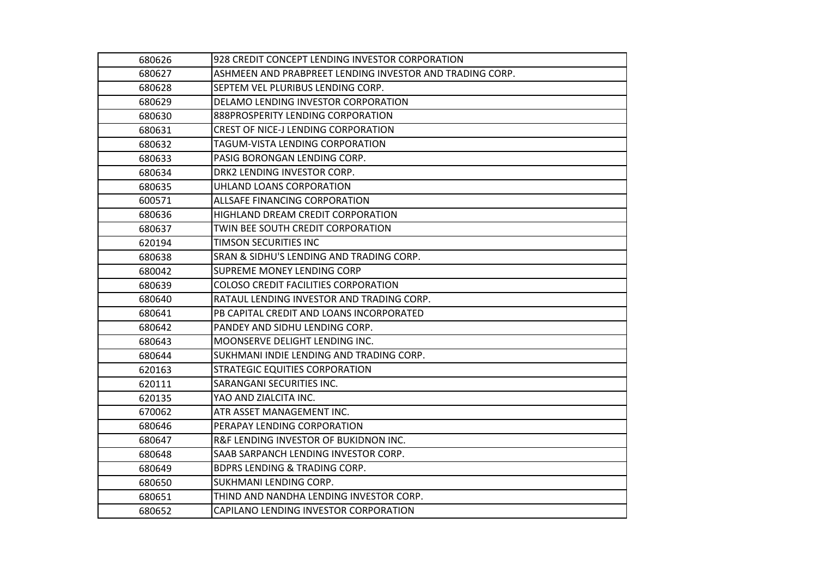| 680626 | 928 CREDIT CONCEPT LENDING INVESTOR CORPORATION          |
|--------|----------------------------------------------------------|
| 680627 | ASHMEEN AND PRABPREET LENDING INVESTOR AND TRADING CORP. |
| 680628 | SEPTEM VEL PLURIBUS LENDING CORP.                        |
| 680629 | DELAMO LENDING INVESTOR CORPORATION                      |
| 680630 | 888PROSPERITY LENDING CORPORATION                        |
| 680631 | <b>CREST OF NICE-J LENDING CORPORATION</b>               |
| 680632 | TAGUM-VISTA LENDING CORPORATION                          |
| 680633 | PASIG BORONGAN LENDING CORP.                             |
| 680634 | DRK2 LENDING INVESTOR CORP.                              |
| 680635 | UHLAND LOANS CORPORATION                                 |
| 600571 | ALLSAFE FINANCING CORPORATION                            |
| 680636 | HIGHLAND DREAM CREDIT CORPORATION                        |
| 680637 | TWIN BEE SOUTH CREDIT CORPORATION                        |
| 620194 | TIMSON SECURITIES INC                                    |
| 680638 | SRAN & SIDHU'S LENDING AND TRADING CORP.                 |
| 680042 | SUPREME MONEY LENDING CORP                               |
| 680639 | COLOSO CREDIT FACILITIES CORPORATION                     |
| 680640 | RATAUL LENDING INVESTOR AND TRADING CORP.                |
| 680641 | PB CAPITAL CREDIT AND LOANS INCORPORATED                 |
| 680642 | PANDEY AND SIDHU LENDING CORP.                           |
| 680643 | MOONSERVE DELIGHT LENDING INC.                           |
| 680644 | SUKHMANI INDIE LENDING AND TRADING CORP.                 |
| 620163 | STRATEGIC EQUITIES CORPORATION                           |
| 620111 | SARANGANI SECURITIES INC.                                |
| 620135 | YAO AND ZIALCITA INC.                                    |
| 670062 | ATR ASSET MANAGEMENT INC.                                |
| 680646 | PERAPAY LENDING CORPORATION                              |
| 680647 | <b>R&amp;F LENDING INVESTOR OF BUKIDNON INC.</b>         |
| 680648 | SAAB SARPANCH LENDING INVESTOR CORP.                     |
| 680649 | <b>BDPRS LENDING &amp; TRADING CORP.</b>                 |
| 680650 | SUKHMANI LENDING CORP.                                   |
| 680651 | THIND AND NANDHA LENDING INVESTOR CORP.                  |
| 680652 | CAPILANO LENDING INVESTOR CORPORATION                    |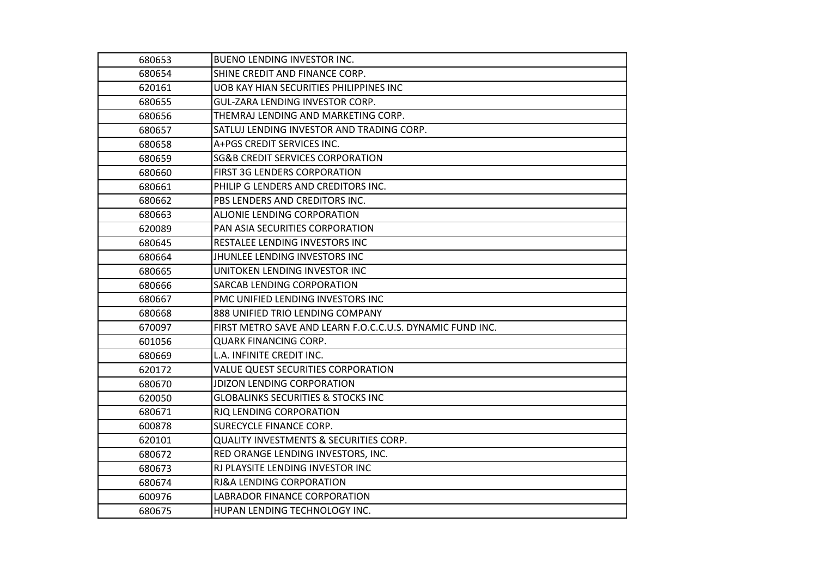| 680653 | <b>BUENO LENDING INVESTOR INC.</b>                        |
|--------|-----------------------------------------------------------|
| 680654 | SHINE CREDIT AND FINANCE CORP.                            |
| 620161 | UOB KAY HIAN SECURITIES PHILIPPINES INC                   |
| 680655 | GUL-ZARA LENDING INVESTOR CORP.                           |
| 680656 | THEMRAJ LENDING AND MARKETING CORP.                       |
| 680657 | SATLUJ LENDING INVESTOR AND TRADING CORP.                 |
| 680658 | A+PGS CREDIT SERVICES INC.                                |
| 680659 | <b>SG&amp;B CREDIT SERVICES CORPORATION</b>               |
| 680660 | <b>FIRST 3G LENDERS CORPORATION</b>                       |
| 680661 | PHILIP G LENDERS AND CREDITORS INC.                       |
| 680662 | PBS LENDERS AND CREDITORS INC.                            |
| 680663 | ALJONIE LENDING CORPORATION                               |
| 620089 | PAN ASIA SECURITIES CORPORATION                           |
| 680645 | RESTALEE LENDING INVESTORS INC                            |
| 680664 | JHUNLEE LENDING INVESTORS INC                             |
| 680665 | UNITOKEN LENDING INVESTOR INC                             |
| 680666 | SARCAB LENDING CORPORATION                                |
| 680667 | PMC UNIFIED LENDING INVESTORS INC                         |
| 680668 | 888 UNIFIED TRIO LENDING COMPANY                          |
| 670097 | FIRST METRO SAVE AND LEARN F.O.C.C.U.S. DYNAMIC FUND INC. |
| 601056 | <b>QUARK FINANCING CORP.</b>                              |
| 680669 | L.A. INFINITE CREDIT INC.                                 |
| 620172 | <b>VALUE QUEST SECURITIES CORPORATION</b>                 |
| 680670 | <b>JDIZON LENDING CORPORATION</b>                         |
| 620050 | <b>GLOBALINKS SECURITIES &amp; STOCKS INC</b>             |
| 680671 | RJQ LENDING CORPORATION                                   |
| 600878 | SURECYCLE FINANCE CORP.                                   |
| 620101 | <b>QUALITY INVESTMENTS &amp; SECURITIES CORP.</b>         |
| 680672 | RED ORANGE LENDING INVESTORS, INC.                        |
| 680673 | RJ PLAYSITE LENDING INVESTOR INC                          |
| 680674 | RJ&A LENDING CORPORATION                                  |
| 600976 | LABRADOR FINANCE CORPORATION                              |
| 680675 | HUPAN LENDING TECHNOLOGY INC.                             |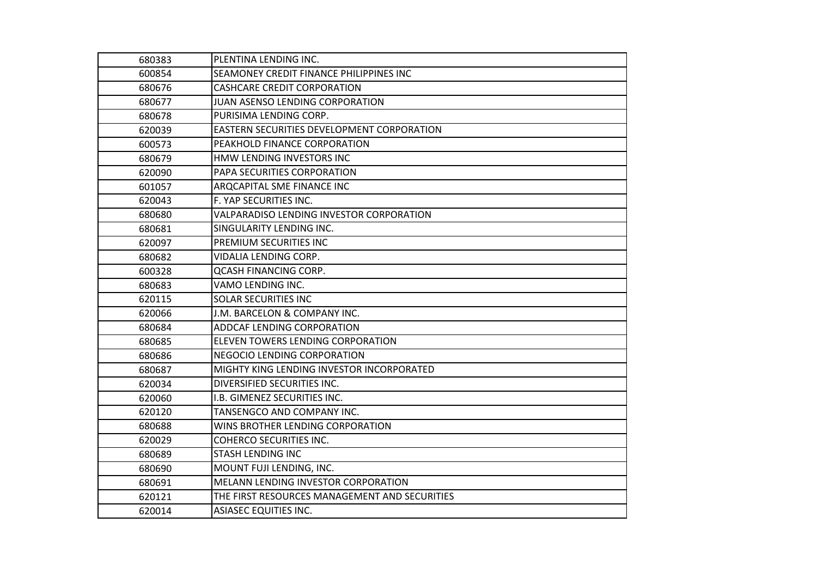| 680383 | PLENTINA LENDING INC.                         |
|--------|-----------------------------------------------|
| 600854 | SEAMONEY CREDIT FINANCE PHILIPPINES INC       |
| 680676 | <b>CASHCARE CREDIT CORPORATION</b>            |
| 680677 | JUAN ASENSO LENDING CORPORATION               |
| 680678 | PURISIMA LENDING CORP.                        |
| 620039 | EASTERN SECURITIES DEVELOPMENT CORPORATION    |
| 600573 | PEAKHOLD FINANCE CORPORATION                  |
| 680679 | HMW LENDING INVESTORS INC                     |
| 620090 | PAPA SECURITIES CORPORATION                   |
| 601057 | <b>ARQCAPITAL SME FINANCE INC</b>             |
| 620043 | F. YAP SECURITIES INC.                        |
| 680680 | VALPARADISO LENDING INVESTOR CORPORATION      |
| 680681 | SINGULARITY LENDING INC.                      |
| 620097 | PREMIUM SECURITIES INC                        |
| 680682 | VIDALIA LENDING CORP.                         |
| 600328 | <b>QCASH FINANCING CORP.</b>                  |
| 680683 | VAMO LENDING INC.                             |
| 620115 | <b>SOLAR SECURITIES INC</b>                   |
| 620066 | J.M. BARCELON & COMPANY INC.                  |
| 680684 | ADDCAF LENDING CORPORATION                    |
| 680685 | ELEVEN TOWERS LENDING CORPORATION             |
| 680686 | <b>NEGOCIO LENDING CORPORATION</b>            |
| 680687 | MIGHTY KING LENDING INVESTOR INCORPORATED     |
| 620034 | DIVERSIFIED SECURITIES INC.                   |
| 620060 | I.B. GIMENEZ SECURITIES INC.                  |
| 620120 | TANSENGCO AND COMPANY INC.                    |
| 680688 | WINS BROTHER LENDING CORPORATION              |
| 620029 | <b>COHERCO SECURITIES INC.</b>                |
| 680689 | <b>STASH LENDING INC</b>                      |
| 680690 | MOUNT FUJI LENDING, INC.                      |
| 680691 | MELANN LENDING INVESTOR CORPORATION           |
| 620121 | THE FIRST RESOURCES MANAGEMENT AND SECURITIES |
| 620014 | <b>ASIASEC EQUITIES INC.</b>                  |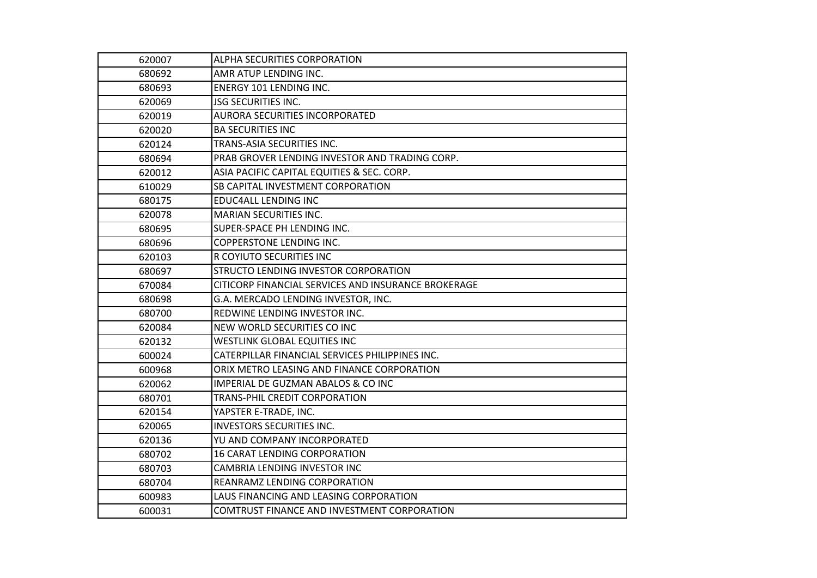| 620007 | ALPHA SECURITIES CORPORATION                        |
|--------|-----------------------------------------------------|
| 680692 | AMR ATUP LENDING INC.                               |
| 680693 | <b>ENERGY 101 LENDING INC.</b>                      |
| 620069 | <b>JSG SECURITIES INC.</b>                          |
| 620019 | AURORA SECURITIES INCORPORATED                      |
| 620020 | <b>BA SECURITIES INC</b>                            |
| 620124 | TRANS-ASIA SECURITIES INC.                          |
| 680694 | PRAB GROVER LENDING INVESTOR AND TRADING CORP.      |
| 620012 | ASIA PACIFIC CAPITAL EQUITIES & SEC. CORP.          |
| 610029 | <b>SB CAPITAL INVESTMENT CORPORATION</b>            |
| 680175 | <b>EDUC4ALL LENDING INC</b>                         |
| 620078 | <b>MARIAN SECURITIES INC.</b>                       |
| 680695 | SUPER-SPACE PH LENDING INC.                         |
| 680696 | <b>COPPERSTONE LENDING INC.</b>                     |
| 620103 | R COYIUTO SECURITIES INC                            |
| 680697 | STRUCTO LENDING INVESTOR CORPORATION                |
| 670084 | CITICORP FINANCIAL SERVICES AND INSURANCE BROKERAGE |
| 680698 | G.A. MERCADO LENDING INVESTOR, INC.                 |
| 680700 | REDWINE LENDING INVESTOR INC.                       |
| 620084 | NEW WORLD SECURITIES CO INC                         |
| 620132 | <b>WESTLINK GLOBAL EQUITIES INC</b>                 |
| 600024 | CATERPILLAR FINANCIAL SERVICES PHILIPPINES INC.     |
| 600968 | ORIX METRO LEASING AND FINANCE CORPORATION          |
| 620062 | IMPERIAL DE GUZMAN ABALOS & CO INC                  |
| 680701 | TRANS-PHIL CREDIT CORPORATION                       |
| 620154 | YAPSTER E-TRADE, INC.                               |
| 620065 | <b>INVESTORS SECURITIES INC.</b>                    |
| 620136 | YU AND COMPANY INCORPORATED                         |
| 680702 | <b>16 CARAT LENDING CORPORATION</b>                 |
| 680703 | CAMBRIA LENDING INVESTOR INC                        |
| 680704 | REANRAMZ LENDING CORPORATION                        |
| 600983 | LAUS FINANCING AND LEASING CORPORATION              |
| 600031 | COMTRUST FINANCE AND INVESTMENT CORPORATION         |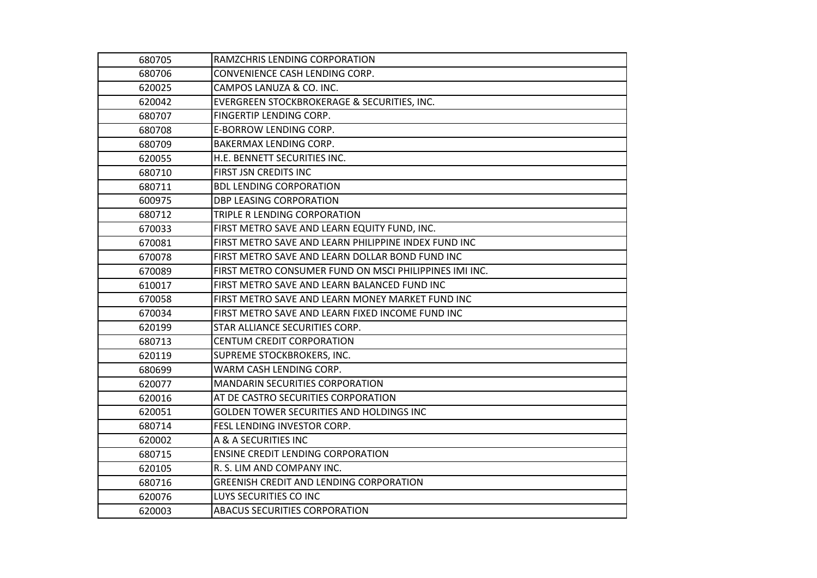| 680705 | RAMZCHRIS LENDING CORPORATION                          |
|--------|--------------------------------------------------------|
| 680706 | CONVENIENCE CASH LENDING CORP.                         |
| 620025 | CAMPOS LANUZA & CO. INC.                               |
| 620042 | EVERGREEN STOCKBROKERAGE & SECURITIES, INC.            |
| 680707 | FINGERTIP LENDING CORP.                                |
| 680708 | E-BORROW LENDING CORP.                                 |
| 680709 | <b>BAKERMAX LENDING CORP.</b>                          |
| 620055 | H.E. BENNETT SECURITIES INC.                           |
| 680710 | FIRST JSN CREDITS INC                                  |
| 680711 | <b>BDL LENDING CORPORATION</b>                         |
| 600975 | <b>DBP LEASING CORPORATION</b>                         |
| 680712 | TRIPLE R LENDING CORPORATION                           |
| 670033 | FIRST METRO SAVE AND LEARN EQUITY FUND, INC.           |
| 670081 | FIRST METRO SAVE AND LEARN PHILIPPINE INDEX FUND INC   |
| 670078 | FIRST METRO SAVE AND LEARN DOLLAR BOND FUND INC        |
| 670089 | FIRST METRO CONSUMER FUND ON MSCI PHILIPPINES IMI INC. |
| 610017 | FIRST METRO SAVE AND LEARN BALANCED FUND INC           |
| 670058 | FIRST METRO SAVE AND LEARN MONEY MARKET FUND INC       |
| 670034 | FIRST METRO SAVE AND LEARN FIXED INCOME FUND INC       |
| 620199 | STAR ALLIANCE SECURITIES CORP.                         |
| 680713 | <b>CENTUM CREDIT CORPORATION</b>                       |
| 620119 | SUPREME STOCKBROKERS, INC.                             |
| 680699 | WARM CASH LENDING CORP.                                |
| 620077 | <b>MANDARIN SECURITIES CORPORATION</b>                 |
| 620016 | AT DE CASTRO SECURITIES CORPORATION                    |
| 620051 | <b>GOLDEN TOWER SECURITIES AND HOLDINGS INC</b>        |
| 680714 | FESL LENDING INVESTOR CORP.                            |
| 620002 | A & A SECURITIES INC                                   |
| 680715 | <b>ENSINE CREDIT LENDING CORPORATION</b>               |
| 620105 | R. S. LIM AND COMPANY INC.                             |
| 680716 | GREENISH CREDIT AND LENDING CORPORATION                |
| 620076 | LUYS SECURITIES CO INC                                 |
| 620003 | ABACUS SECURITIES CORPORATION                          |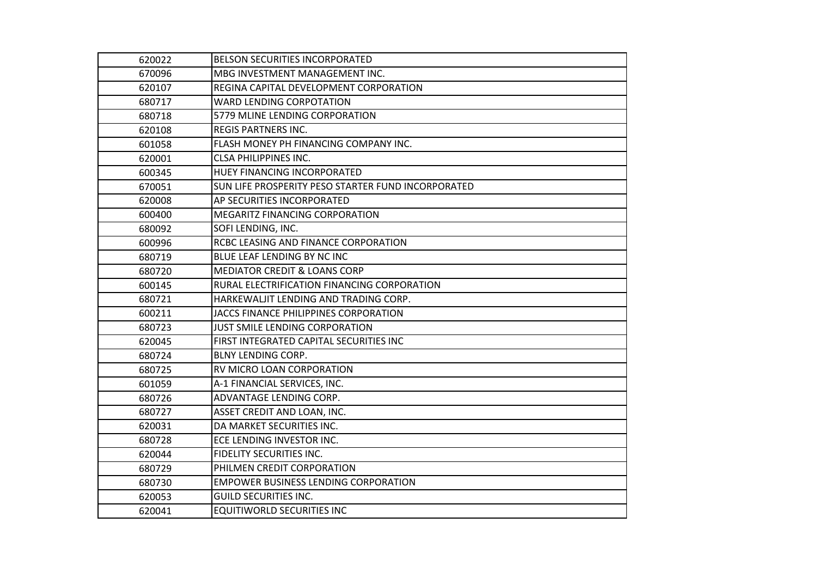| 620022 | BELSON SECURITIES INCORPORATED                     |
|--------|----------------------------------------------------|
| 670096 | MBG INVESTMENT MANAGEMENT INC.                     |
| 620107 | REGINA CAPITAL DEVELOPMENT CORPORATION             |
| 680717 | <b>WARD LENDING CORPOTATION</b>                    |
| 680718 | 5779 MLINE LENDING CORPORATION                     |
| 620108 | <b>REGIS PARTNERS INC.</b>                         |
| 601058 | FLASH MONEY PH FINANCING COMPANY INC.              |
| 620001 | <b>CLSA PHILIPPINES INC.</b>                       |
| 600345 | HUEY FINANCING INCORPORATED                        |
| 670051 | SUN LIFE PROSPERITY PESO STARTER FUND INCORPORATED |
| 620008 | AP SECURITIES INCORPORATED                         |
| 600400 | MEGARITZ FINANCING CORPORATION                     |
| 680092 | SOFI LENDING, INC.                                 |
| 600996 | RCBC LEASING AND FINANCE CORPORATION               |
| 680719 | BLUE LEAF LENDING BY NC INC                        |
| 680720 | <b>MEDIATOR CREDIT &amp; LOANS CORP</b>            |
| 600145 | RURAL ELECTRIFICATION FINANCING CORPORATION        |
| 680721 | HARKEWALJIT LENDING AND TRADING CORP.              |
| 600211 | JACCS FINANCE PHILIPPINES CORPORATION              |
| 680723 | JUST SMILE LENDING CORPORATION                     |
| 620045 | FIRST INTEGRATED CAPITAL SECURITIES INC            |
| 680724 | <b>BLNY LENDING CORP.</b>                          |
| 680725 | RV MICRO LOAN CORPORATION                          |
| 601059 | A-1 FINANCIAL SERVICES, INC.                       |
| 680726 | ADVANTAGE LENDING CORP.                            |
| 680727 | ASSET CREDIT AND LOAN, INC.                        |
| 620031 | DA MARKET SECURITIES INC.                          |
| 680728 | ECE LENDING INVESTOR INC.                          |
| 620044 | <b>FIDELITY SECURITIES INC.</b>                    |
| 680729 | PHILMEN CREDIT CORPORATION                         |
| 680730 | <b>EMPOWER BUSINESS LENDING CORPORATION</b>        |
| 620053 | <b>GUILD SECURITIES INC.</b>                       |
| 620041 | <b>EQUITIWORLD SECURITIES INC</b>                  |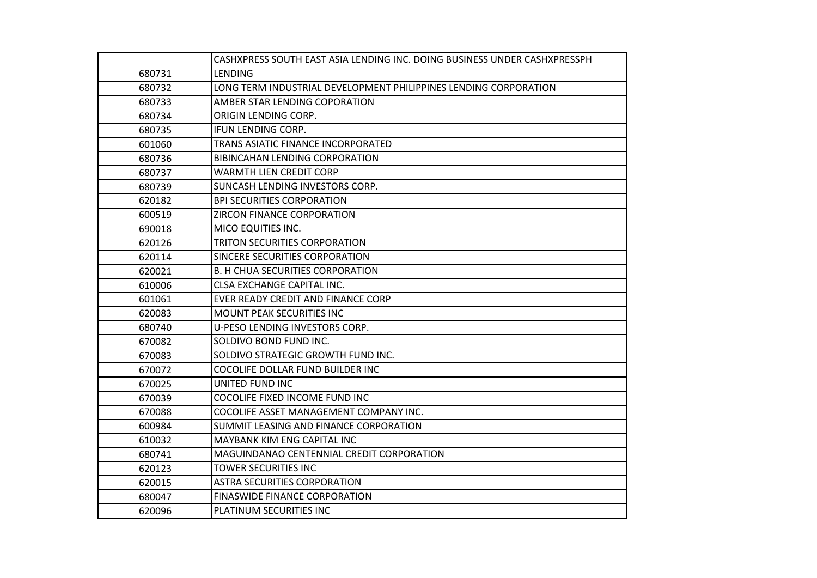|        | CASHXPRESS SOUTH EAST ASIA LENDING INC. DOING BUSINESS UNDER CASHXPRESSPH |
|--------|---------------------------------------------------------------------------|
| 680731 | LENDING                                                                   |
| 680732 | LONG TERM INDUSTRIAL DEVELOPMENT PHILIPPINES LENDING CORPORATION          |
| 680733 | AMBER STAR LENDING COPORATION                                             |
| 680734 | ORIGIN LENDING CORP.                                                      |
| 680735 | IFUN LENDING CORP.                                                        |
| 601060 | TRANS ASIATIC FINANCE INCORPORATED                                        |
| 680736 | <b>BIBINCAHAN LENDING CORPORATION</b>                                     |
| 680737 | <b>WARMTH LIEN CREDIT CORP</b>                                            |
| 680739 | SUNCASH LENDING INVESTORS CORP.                                           |
| 620182 | <b>BPI SECURITIES CORPORATION</b>                                         |
| 600519 | ZIRCON FINANCE CORPORATION                                                |
| 690018 | MICO EQUITIES INC.                                                        |
| 620126 | TRITON SECURITIES CORPORATION                                             |
| 620114 | SINCERE SECURITIES CORPORATION                                            |
| 620021 | <b>B. H CHUA SECURITIES CORPORATION</b>                                   |
| 610006 | CLSA EXCHANGE CAPITAL INC.                                                |
| 601061 | EVER READY CREDIT AND FINANCE CORP                                        |
| 620083 | MOUNT PEAK SECURITIES INC                                                 |
| 680740 | U-PESO LENDING INVESTORS CORP.                                            |
| 670082 | SOLDIVO BOND FUND INC.                                                    |
| 670083 | SOLDIVO STRATEGIC GROWTH FUND INC.                                        |
| 670072 | COCOLIFE DOLLAR FUND BUILDER INC                                          |
| 670025 | UNITED FUND INC                                                           |
| 670039 | COCOLIFE FIXED INCOME FUND INC                                            |
| 670088 | COCOLIFE ASSET MANAGEMENT COMPANY INC.                                    |
| 600984 | SUMMIT LEASING AND FINANCE CORPORATION                                    |
| 610032 | MAYBANK KIM ENG CAPITAL INC                                               |
| 680741 | MAGUINDANAO CENTENNIAL CREDIT CORPORATION                                 |
| 620123 | <b>TOWER SECURITIES INC</b>                                               |
| 620015 | <b>ASTRA SECURITIES CORPORATION</b>                                       |
| 680047 | <b>FINASWIDE FINANCE CORPORATION</b>                                      |
| 620096 | PLATINUM SECURITIES INC                                                   |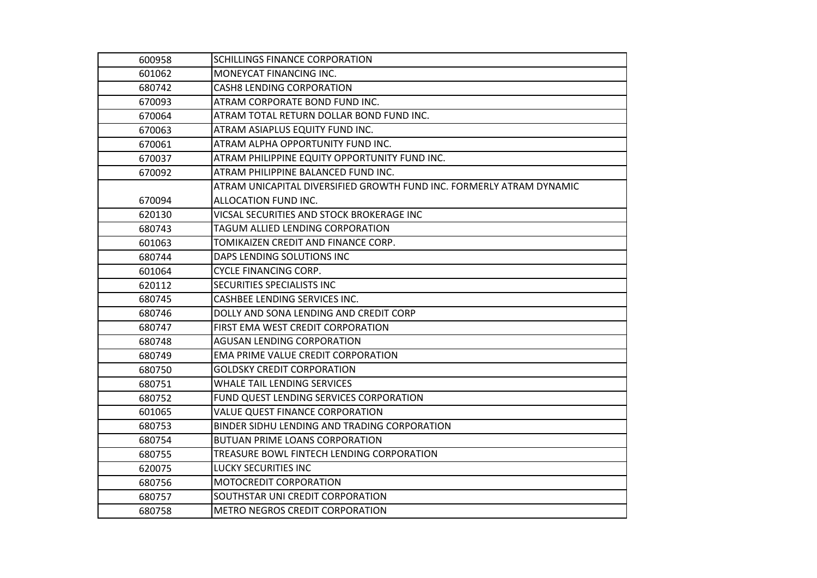| 600958 | <b>SCHILLINGS FINANCE CORPORATION</b>                                |
|--------|----------------------------------------------------------------------|
| 601062 | MONEYCAT FINANCING INC.                                              |
| 680742 | <b>CASH8 LENDING CORPORATION</b>                                     |
| 670093 | ATRAM CORPORATE BOND FUND INC.                                       |
| 670064 | ATRAM TOTAL RETURN DOLLAR BOND FUND INC.                             |
| 670063 | ATRAM ASIAPLUS EQUITY FUND INC.                                      |
| 670061 | ATRAM ALPHA OPPORTUNITY FUND INC.                                    |
| 670037 | ATRAM PHILIPPINE EQUITY OPPORTUNITY FUND INC.                        |
| 670092 | ATRAM PHILIPPINE BALANCED FUND INC.                                  |
|        | ATRAM UNICAPITAL DIVERSIFIED GROWTH FUND INC. FORMERLY ATRAM DYNAMIC |
| 670094 | ALLOCATION FUND INC.                                                 |
| 620130 | VICSAL SECURITIES AND STOCK BROKERAGE INC                            |
| 680743 | TAGUM ALLIED LENDING CORPORATION                                     |
| 601063 | TOMIKAIZEN CREDIT AND FINANCE CORP.                                  |
| 680744 | DAPS LENDING SOLUTIONS INC                                           |
| 601064 | <b>CYCLE FINANCING CORP.</b>                                         |
| 620112 | SECURITIES SPECIALISTS INC                                           |
| 680745 | CASHBEE LENDING SERVICES INC.                                        |
| 680746 | DOLLY AND SONA LENDING AND CREDIT CORP                               |
| 680747 | FIRST EMA WEST CREDIT CORPORATION                                    |
| 680748 | <b>AGUSAN LENDING CORPORATION</b>                                    |
| 680749 | EMA PRIME VALUE CREDIT CORPORATION                                   |
| 680750 | <b>GOLDSKY CREDIT CORPORATION</b>                                    |
| 680751 | WHALE TAIL LENDING SERVICES                                          |
| 680752 | FUND QUEST LENDING SERVICES CORPORATION                              |
| 601065 | VALUE QUEST FINANCE CORPORATION                                      |
| 680753 | BINDER SIDHU LENDING AND TRADING CORPORATION                         |
| 680754 | <b>BUTUAN PRIME LOANS CORPORATION</b>                                |
| 680755 | TREASURE BOWL FINTECH LENDING CORPORATION                            |
| 620075 | <b>LUCKY SECURITIES INC</b>                                          |
| 680756 | MOTOCREDIT CORPORATION                                               |
| 680757 | SOUTHSTAR UNI CREDIT CORPORATION                                     |
| 680758 | METRO NEGROS CREDIT CORPORATION                                      |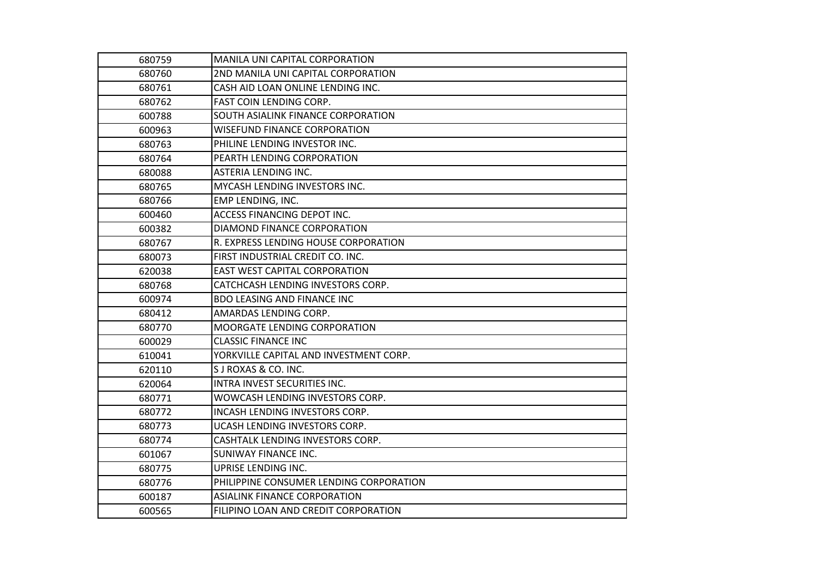| 680759 | MANILA UNI CAPITAL CORPORATION          |
|--------|-----------------------------------------|
| 680760 | 2ND MANILA UNI CAPITAL CORPORATION      |
| 680761 | CASH AID LOAN ONLINE LENDING INC.       |
| 680762 | <b>FAST COIN LENDING CORP.</b>          |
| 600788 | SOUTH ASIALINK FINANCE CORPORATION      |
| 600963 | <b>WISEFUND FINANCE CORPORATION</b>     |
| 680763 | PHILINE LENDING INVESTOR INC.           |
| 680764 | PEARTH LENDING CORPORATION              |
| 680088 | <b>ASTERIA LENDING INC.</b>             |
| 680765 | MYCASH LENDING INVESTORS INC.           |
| 680766 | EMP LENDING, INC.                       |
| 600460 | <b>ACCESS FINANCING DEPOT INC.</b>      |
| 600382 | DIAMOND FINANCE CORPORATION             |
| 680767 | R. EXPRESS LENDING HOUSE CORPORATION    |
| 680073 | FIRST INDUSTRIAL CREDIT CO. INC.        |
| 620038 | <b>EAST WEST CAPITAL CORPORATION</b>    |
| 680768 | CATCHCASH LENDING INVESTORS CORP.       |
| 600974 | <b>BDO LEASING AND FINANCE INC</b>      |
| 680412 | AMARDAS LENDING CORP.                   |
| 680770 | <b>MOORGATE LENDING CORPORATION</b>     |
| 600029 | <b>CLASSIC FINANCE INC</b>              |
| 610041 | YORKVILLE CAPITAL AND INVESTMENT CORP.  |
| 620110 | S J ROXAS & CO. INC.                    |
| 620064 | INTRA INVEST SECURITIES INC.            |
| 680771 | WOWCASH LENDING INVESTORS CORP.         |
| 680772 | <b>INCASH LENDING INVESTORS CORP.</b>   |
| 680773 | UCASH LENDING INVESTORS CORP.           |
| 680774 | CASHTALK LENDING INVESTORS CORP.        |
| 601067 | SUNIWAY FINANCE INC.                    |
| 680775 | UPRISE LENDING INC.                     |
| 680776 | PHILIPPINE CONSUMER LENDING CORPORATION |
| 600187 | <b>ASIALINK FINANCE CORPORATION</b>     |
| 600565 | FILIPINO LOAN AND CREDIT CORPORATION    |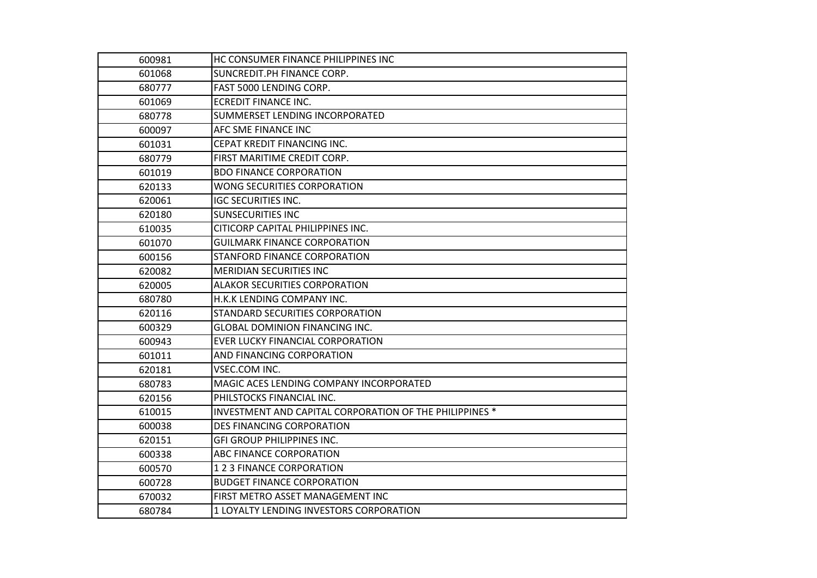| 600981 | HC CONSUMER FINANCE PHILIPPINES INC                     |
|--------|---------------------------------------------------------|
| 601068 | SUNCREDIT.PH FINANCE CORP.                              |
| 680777 | FAST 5000 LENDING CORP.                                 |
| 601069 | <b>ECREDIT FINANCE INC.</b>                             |
| 680778 | SUMMERSET LENDING INCORPORATED                          |
| 600097 | AFC SME FINANCE INC                                     |
| 601031 | CEPAT KREDIT FINANCING INC.                             |
| 680779 | FIRST MARITIME CREDIT CORP.                             |
| 601019 | <b>BDO FINANCE CORPORATION</b>                          |
| 620133 | WONG SECURITIES CORPORATION                             |
| 620061 | <b>IGC SECURITIES INC.</b>                              |
| 620180 | <b>SUNSECURITIES INC</b>                                |
| 610035 | CITICORP CAPITAL PHILIPPINES INC.                       |
| 601070 | <b>GUILMARK FINANCE CORPORATION</b>                     |
| 600156 | STANFORD FINANCE CORPORATION                            |
| 620082 | <b>MERIDIAN SECURITIES INC</b>                          |
| 620005 | <b>ALAKOR SECURITIES CORPORATION</b>                    |
| 680780 | H.K.K LENDING COMPANY INC.                              |
| 620116 | STANDARD SECURITIES CORPORATION                         |
| 600329 | <b>GLOBAL DOMINION FINANCING INC.</b>                   |
| 600943 | EVER LUCKY FINANCIAL CORPORATION                        |
| 601011 | AND FINANCING CORPORATION                               |
| 620181 | VSEC.COM INC.                                           |
| 680783 | MAGIC ACES LENDING COMPANY INCORPORATED                 |
| 620156 | PHILSTOCKS FINANCIAL INC.                               |
| 610015 | INVESTMENT AND CAPITAL CORPORATION OF THE PHILIPPINES * |
| 600038 | <b>DES FINANCING CORPORATION</b>                        |
| 620151 | <b>GFI GROUP PHILIPPINES INC.</b>                       |
| 600338 | <b>ABC FINANCE CORPORATION</b>                          |
| 600570 | 123 FINANCE CORPORATION                                 |
| 600728 | <b>BUDGET FINANCE CORPORATION</b>                       |
| 670032 | FIRST METRO ASSET MANAGEMENT INC                        |
| 680784 | 1 LOYALTY LENDING INVESTORS CORPORATION                 |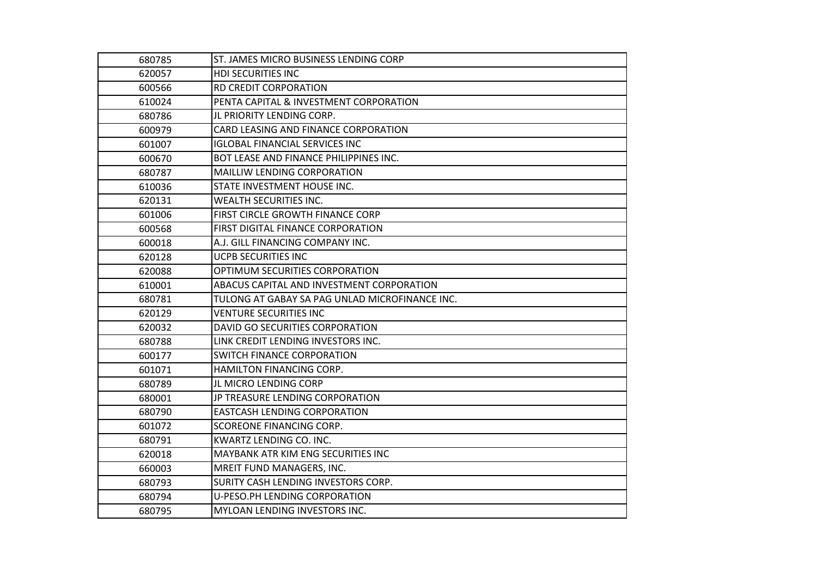| 680785 | ST. JAMES MICRO BUSINESS LENDING CORP          |
|--------|------------------------------------------------|
| 620057 | HDI SECURITIES INC                             |
| 600566 | <b>RD CREDIT CORPORATION</b>                   |
| 610024 | PENTA CAPITAL & INVESTMENT CORPORATION         |
| 680786 | JL PRIORITY LENDING CORP.                      |
| 600979 | CARD LEASING AND FINANCE CORPORATION           |
| 601007 | <b>IGLOBAL FINANCIAL SERVICES INC</b>          |
| 600670 | BOT LEASE AND FINANCE PHILIPPINES INC.         |
| 680787 | MAILLIW LENDING CORPORATION                    |
| 610036 | STATE INVESTMENT HOUSE INC.                    |
| 620131 | <b>WEALTH SECURITIES INC.</b>                  |
| 601006 | FIRST CIRCLE GROWTH FINANCE CORP               |
| 600568 | FIRST DIGITAL FINANCE CORPORATION              |
| 600018 | A.J. GILL FINANCING COMPANY INC.               |
| 620128 | <b>UCPB SECURITIES INC</b>                     |
| 620088 | OPTIMUM SECURITIES CORPORATION                 |
| 610001 | ABACUS CAPITAL AND INVESTMENT CORPORATION      |
| 680781 | TULONG AT GABAY SA PAG UNLAD MICROFINANCE INC. |
| 620129 | <b>VENTURE SECURITIES INC</b>                  |
| 620032 | DAVID GO SECURITIES CORPORATION                |
| 680788 | LINK CREDIT LENDING INVESTORS INC.             |
| 600177 | <b>SWITCH FINANCE CORPORATION</b>              |
| 601071 | <b>HAMILTON FINANCING CORP.</b>                |
| 680789 | JL MICRO LENDING CORP                          |
| 680001 | JP TREASURE LENDING CORPORATION                |
| 680790 | <b>EASTCASH LENDING CORPORATION</b>            |
| 601072 | SCOREONE FINANCING CORP.                       |
| 680791 | KWARTZ LENDING CO. INC.                        |
| 620018 | MAYBANK ATR KIM ENG SECURITIES INC             |
| 660003 | MREIT FUND MANAGERS, INC.                      |
| 680793 | SURITY CASH LENDING INVESTORS CORP.            |
| 680794 | U-PESO.PH LENDING CORPORATION                  |
| 680795 | MYLOAN LENDING INVESTORS INC.                  |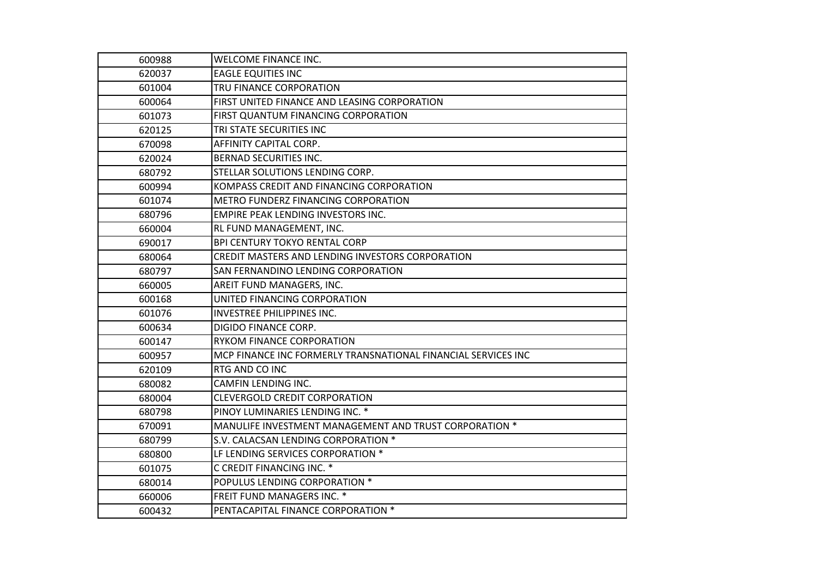| 600988 | <b>WELCOME FINANCE INC.</b>                                   |
|--------|---------------------------------------------------------------|
| 620037 | <b>EAGLE EQUITIES INC</b>                                     |
| 601004 | TRU FINANCE CORPORATION                                       |
| 600064 | FIRST UNITED FINANCE AND LEASING CORPORATION                  |
| 601073 | FIRST QUANTUM FINANCING CORPORATION                           |
| 620125 | TRI STATE SECURITIES INC                                      |
| 670098 | AFFINITY CAPITAL CORP.                                        |
| 620024 | <b>BERNAD SECURITIES INC.</b>                                 |
| 680792 | STELLAR SOLUTIONS LENDING CORP.                               |
| 600994 | KOMPASS CREDIT AND FINANCING CORPORATION                      |
| 601074 | METRO FUNDERZ FINANCING CORPORATION                           |
| 680796 | EMPIRE PEAK LENDING INVESTORS INC.                            |
| 660004 | RL FUND MANAGEMENT, INC.                                      |
| 690017 | <b>BPI CENTURY TOKYO RENTAL CORP</b>                          |
| 680064 | CREDIT MASTERS AND LENDING INVESTORS CORPORATION              |
| 680797 | SAN FERNANDINO LENDING CORPORATION                            |
| 660005 | AREIT FUND MANAGERS, INC.                                     |
| 600168 | UNITED FINANCING CORPORATION                                  |
| 601076 | INVESTREE PHILIPPINES INC.                                    |
| 600634 | DIGIDO FINANCE CORP.                                          |
| 600147 | <b>RYKOM FINANCE CORPORATION</b>                              |
| 600957 | MCP FINANCE INC FORMERLY TRANSNATIONAL FINANCIAL SERVICES INC |
| 620109 | RTG AND CO INC                                                |
| 680082 | CAMFIN LENDING INC.                                           |
| 680004 | <b>CLEVERGOLD CREDIT CORPORATION</b>                          |
| 680798 | PINOY LUMINARIES LENDING INC. *                               |
| 670091 | MANULIFE INVESTMENT MANAGEMENT AND TRUST CORPORATION *        |
| 680799 | S.V. CALACSAN LENDING CORPORATION *                           |
| 680800 | LF LENDING SERVICES CORPORATION *                             |
| 601075 | C CREDIT FINANCING INC. *                                     |
| 680014 | POPULUS LENDING CORPORATION *                                 |
| 660006 | FREIT FUND MANAGERS INC. *                                    |
| 600432 | PENTACAPITAL FINANCE CORPORATION *                            |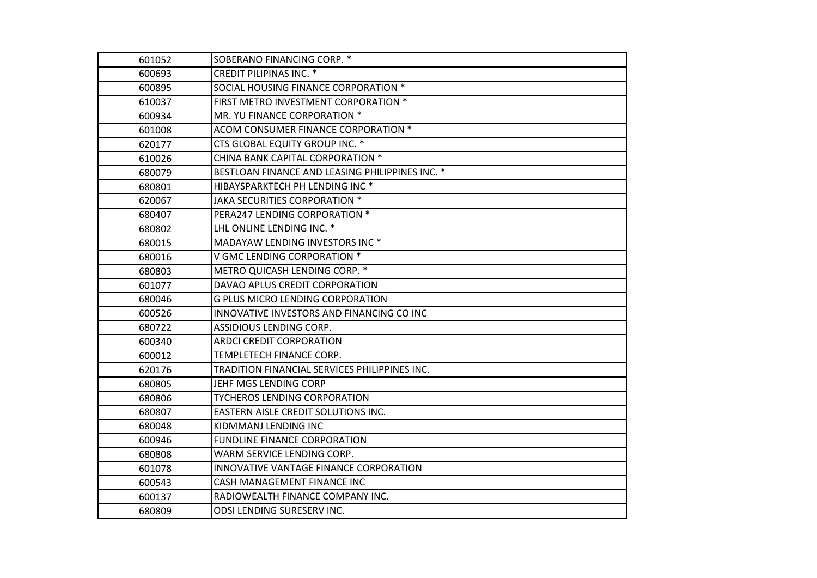| 601052 | SOBERANO FINANCING CORP. *                      |
|--------|-------------------------------------------------|
| 600693 | <b>CREDIT PILIPINAS INC. *</b>                  |
| 600895 | SOCIAL HOUSING FINANCE CORPORATION *            |
| 610037 | FIRST METRO INVESTMENT CORPORATION *            |
| 600934 | MR. YU FINANCE CORPORATION *                    |
| 601008 | ACOM CONSUMER FINANCE CORPORATION *             |
| 620177 | CTS GLOBAL EQUITY GROUP INC. *                  |
| 610026 | CHINA BANK CAPITAL CORPORATION *                |
| 680079 | BESTLOAN FINANCE AND LEASING PHILIPPINES INC. * |
| 680801 | HIBAYSPARKTECH PH LENDING INC <sup>*</sup>      |
| 620067 | JAKA SECURITIES CORPORATION *                   |
| 680407 | PERA247 LENDING CORPORATION *                   |
| 680802 | LHL ONLINE LENDING INC. *                       |
| 680015 | MADAYAW LENDING INVESTORS INC *                 |
| 680016 | V GMC LENDING CORPORATION *                     |
| 680803 | METRO QUICASH LENDING CORP. *                   |
| 601077 | DAVAO APLUS CREDIT CORPORATION                  |
| 680046 | <b>G PLUS MICRO LENDING CORPORATION</b>         |
| 600526 | INNOVATIVE INVESTORS AND FINANCING CO INC       |
| 680722 | ASSIDIOUS LENDING CORP.                         |
| 600340 | ARDCI CREDIT CORPORATION                        |
| 600012 | TEMPLETECH FINANCE CORP.                        |
| 620176 | TRADITION FINANCIAL SERVICES PHILIPPINES INC.   |
| 680805 | JEHF MGS LENDING CORP                           |
| 680806 | <b>TYCHEROS LENDING CORPORATION</b>             |
| 680807 | EASTERN AISLE CREDIT SOLUTIONS INC.             |
| 680048 | KIDMMANJ LENDING INC                            |
| 600946 | <b>FUNDLINE FINANCE CORPORATION</b>             |
| 680808 | WARM SERVICE LENDING CORP.                      |
| 601078 | INNOVATIVE VANTAGE FINANCE CORPORATION          |
| 600543 | CASH MANAGEMENT FINANCE INC                     |
| 600137 | RADIOWEALTH FINANCE COMPANY INC.                |
| 680809 | ODSI LENDING SURESERV INC.                      |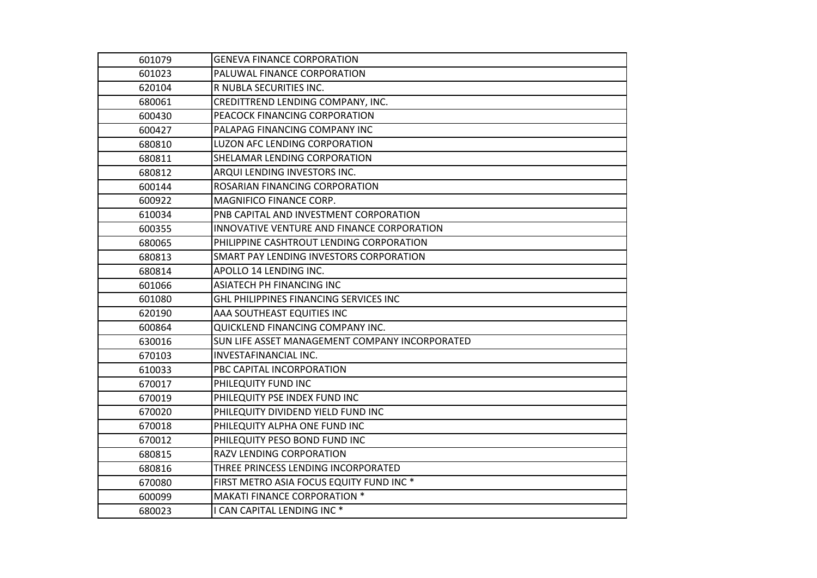| 601079 | <b>GENEVA FINANCE CORPORATION</b>                   |
|--------|-----------------------------------------------------|
| 601023 | PALUWAL FINANCE CORPORATION                         |
| 620104 | R NUBLA SECURITIES INC.                             |
| 680061 | CREDITTREND LENDING COMPANY, INC.                   |
| 600430 | PEACOCK FINANCING CORPORATION                       |
| 600427 | PALAPAG FINANCING COMPANY INC                       |
| 680810 | <b>LUZON AFC LENDING CORPORATION</b>                |
| 680811 | SHELAMAR LENDING CORPORATION                        |
| 680812 | ARQUI LENDING INVESTORS INC.                        |
| 600144 | ROSARIAN FINANCING CORPORATION                      |
| 600922 | MAGNIFICO FINANCE CORP.                             |
| 610034 | PNB CAPITAL AND INVESTMENT CORPORATION              |
| 600355 | INNOVATIVE VENTURE AND FINANCE CORPORATION          |
| 680065 | PHILIPPINE CASHTROUT LENDING CORPORATION            |
| 680813 | SMART PAY LENDING INVESTORS CORPORATION             |
| 680814 | APOLLO 14 LENDING INC.                              |
| 601066 | ASIATECH PH FINANCING INC                           |
| 601080 | GHL PHILIPPINES FINANCING SERVICES INC              |
| 620190 | AAA SOUTHEAST EQUITIES INC                          |
| 600864 | QUICKLEND FINANCING COMPANY INC.                    |
| 630016 | SUN LIFE ASSET MANAGEMENT COMPANY INCORPORATED      |
| 670103 | INVESTAFINANCIAL INC.                               |
| 610033 | PBC CAPITAL INCORPORATION                           |
| 670017 | PHILEQUITY FUND INC                                 |
| 670019 | PHILEQUITY PSE INDEX FUND INC                       |
| 670020 | PHILEQUITY DIVIDEND YIELD FUND INC                  |
| 670018 | PHILEQUITY ALPHA ONE FUND INC                       |
| 670012 | PHILEQUITY PESO BOND FUND INC                       |
| 680815 | RAZV LENDING CORPORATION                            |
| 680816 | THREE PRINCESS LENDING INCORPORATED                 |
| 670080 | FIRST METRO ASIA FOCUS EQUITY FUND INC <sup>*</sup> |
| 600099 | <b>MAKATI FINANCE CORPORATION *</b>                 |
| 680023 | I CAN CAPITAL LENDING INC <sup>*</sup>              |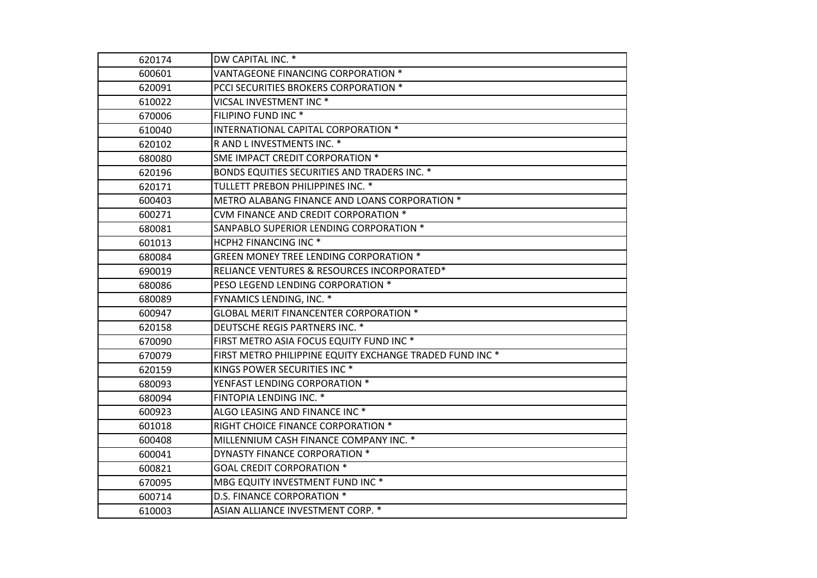| 620174 | DW CAPITAL INC. *                                        |
|--------|----------------------------------------------------------|
| 600601 | VANTAGEONE FINANCING CORPORATION *                       |
| 620091 | PCCI SECURITIES BROKERS CORPORATION *                    |
| 610022 | VICSAL INVESTMENT INC <sup>*</sup>                       |
| 670006 | FILIPINO FUND INC <sup>*</sup>                           |
| 610040 | INTERNATIONAL CAPITAL CORPORATION *                      |
| 620102 | R AND L INVESTMENTS INC. *                               |
| 680080 | SME IMPACT CREDIT CORPORATION *                          |
| 620196 | BONDS EQUITIES SECURITIES AND TRADERS INC. *             |
| 620171 | TULLETT PREBON PHILIPPINES INC. *                        |
| 600403 | METRO ALABANG FINANCE AND LOANS CORPORATION *            |
| 600271 | CVM FINANCE AND CREDIT CORPORATION *                     |
| 680081 | SANPABLO SUPERIOR LENDING CORPORATION *                  |
| 601013 | HCPH2 FINANCING INC <sup>*</sup>                         |
| 680084 | <b>GREEN MONEY TREE LENDING CORPORATION *</b>            |
| 690019 | RELIANCE VENTURES & RESOURCES INCORPORATED*              |
| 680086 | PESO LEGEND LENDING CORPORATION *                        |
| 680089 | FYNAMICS LENDING, INC. *                                 |
| 600947 | <b>GLOBAL MERIT FINANCENTER CORPORATION *</b>            |
| 620158 | DEUTSCHE REGIS PARTNERS INC. *                           |
| 670090 | FIRST METRO ASIA FOCUS EQUITY FUND INC *                 |
| 670079 | FIRST METRO PHILIPPINE EQUITY EXCHANGE TRADED FUND INC * |
| 620159 | KINGS POWER SECURITIES INC <sup>*</sup>                  |
| 680093 | YENFAST LENDING CORPORATION *                            |
| 680094 | FINTOPIA LENDING INC. *                                  |
| 600923 | ALGO LEASING AND FINANCE INC <sup>*</sup>                |
| 601018 | RIGHT CHOICE FINANCE CORPORATION *                       |
| 600408 | MILLENNIUM CASH FINANCE COMPANY INC. *                   |
| 600041 | DYNASTY FINANCE CORPORATION *                            |
| 600821 | <b>GOAL CREDIT CORPORATION *</b>                         |
| 670095 | MBG EQUITY INVESTMENT FUND INC <sup>*</sup>              |
| 600714 | D.S. FINANCE CORPORATION *                               |
| 610003 | ASIAN ALLIANCE INVESTMENT CORP. *                        |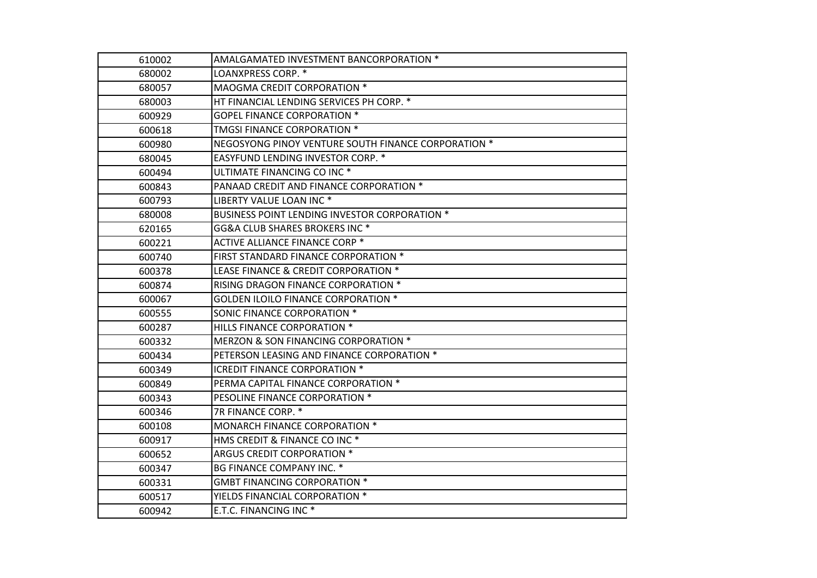| 610002 | AMALGAMATED INVESTMENT BANCORPORATION *             |
|--------|-----------------------------------------------------|
| 680002 | LOANXPRESS CORP. *                                  |
| 680057 | MAOGMA CREDIT CORPORATION *                         |
| 680003 | HT FINANCIAL LENDING SERVICES PH CORP. *            |
| 600929 | <b>GOPEL FINANCE CORPORATION *</b>                  |
| 600618 | TMGSI FINANCE CORPORATION *                         |
| 600980 | NEGOSYONG PINOY VENTURE SOUTH FINANCE CORPORATION * |
| 680045 | EASYFUND LENDING INVESTOR CORP. *                   |
| 600494 | ULTIMATE FINANCING CO INC <sup>*</sup>              |
| 600843 | PANAAD CREDIT AND FINANCE CORPORATION *             |
| 600793 | LIBERTY VALUE LOAN INC *                            |
| 680008 | BUSINESS POINT LENDING INVESTOR CORPORATION *       |
| 620165 | GG&A CLUB SHARES BROKERS INC *                      |
| 600221 | <b>ACTIVE ALLIANCE FINANCE CORP *</b>               |
| 600740 | FIRST STANDARD FINANCE CORPORATION *                |
| 600378 | LEASE FINANCE & CREDIT CORPORATION *                |
| 600874 | RISING DRAGON FINANCE CORPORATION *                 |
| 600067 | <b>GOLDEN ILOILO FINANCE CORPORATION *</b>          |
| 600555 | SONIC FINANCE CORPORATION *                         |
| 600287 | HILLS FINANCE CORPORATION *                         |
| 600332 | MERZON & SON FINANCING CORPORATION *                |
| 600434 | PETERSON LEASING AND FINANCE CORPORATION *          |
| 600349 | <b>ICREDIT FINANCE CORPORATION *</b>                |
| 600849 | PERMA CAPITAL FINANCE CORPORATION *                 |
| 600343 | PESOLINE FINANCE CORPORATION *                      |
| 600346 | 7R FINANCE CORP. *                                  |
| 600108 | MONARCH FINANCE CORPORATION *                       |
| 600917 | HMS CREDIT & FINANCE CO INC <sup>*</sup>            |
| 600652 | ARGUS CREDIT CORPORATION *                          |
| 600347 | BG FINANCE COMPANY INC. *                           |
| 600331 | <b>GMBT FINANCING CORPORATION *</b>                 |
| 600517 | YIELDS FINANCIAL CORPORATION *                      |
| 600942 | E.T.C. FINANCING INC <sup>*</sup>                   |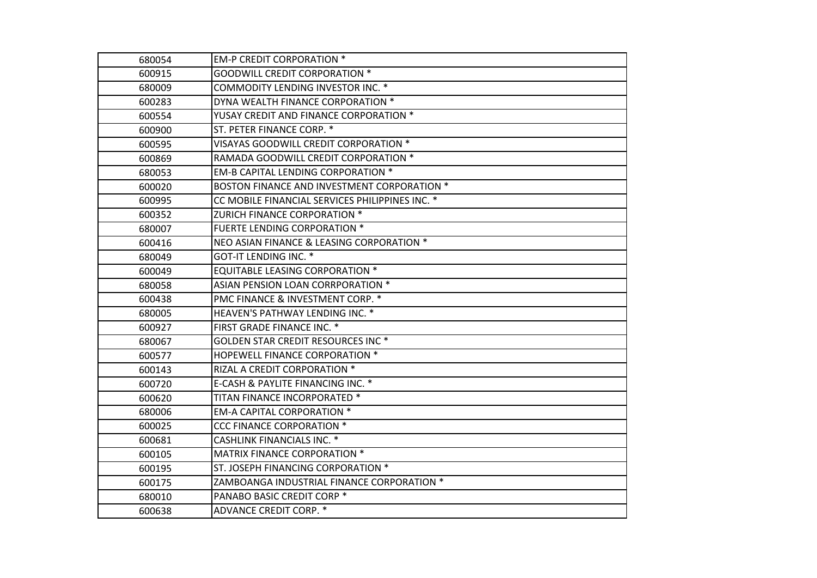| 680054 | <b>EM-P CREDIT CORPORATION *</b>                |
|--------|-------------------------------------------------|
| 600915 | <b>GOODWILL CREDIT CORPORATION *</b>            |
| 680009 | COMMODITY LENDING INVESTOR INC. *               |
| 600283 | DYNA WEALTH FINANCE CORPORATION *               |
| 600554 | YUSAY CREDIT AND FINANCE CORPORATION *          |
| 600900 | ST. PETER FINANCE CORP. *                       |
| 600595 | VISAYAS GOODWILL CREDIT CORPORATION *           |
| 600869 | RAMADA GOODWILL CREDIT CORPORATION *            |
| 680053 | <b>EM-B CAPITAL LENDING CORPORATION *</b>       |
| 600020 | BOSTON FINANCE AND INVESTMENT CORPORATION *     |
| 600995 | CC MOBILE FINANCIAL SERVICES PHILIPPINES INC. * |
| 600352 | ZURICH FINANCE CORPORATION *                    |
| 680007 | FUERTE LENDING CORPORATION *                    |
| 600416 | NEO ASIAN FINANCE & LEASING CORPORATION *       |
| 680049 | GOT-IT LENDING INC. *                           |
| 600049 | <b>EQUITABLE LEASING CORPORATION *</b>          |
| 680058 | ASIAN PENSION LOAN CORRPORATION *               |
| 600438 | PMC FINANCE & INVESTMENT CORP. *                |
| 680005 | HEAVEN'S PATHWAY LENDING INC. *                 |
| 600927 | FIRST GRADE FINANCE INC. *                      |
| 680067 | GOLDEN STAR CREDIT RESOURCES INC <sup>*</sup>   |
| 600577 | HOPEWELL FINANCE CORPORATION *                  |
| 600143 | RIZAL A CREDIT CORPORATION *                    |
| 600720 | E-CASH & PAYLITE FINANCING INC. *               |
| 600620 | TITAN FINANCE INCORPORATED *                    |
| 680006 | <b>EM-A CAPITAL CORPORATION *</b>               |
| 600025 | <b>CCC FINANCE CORPORATION *</b>                |
| 600681 | <b>CASHLINK FINANCIALS INC. *</b>               |
| 600105 | MATRIX FINANCE CORPORATION *                    |
| 600195 | ST. JOSEPH FINANCING CORPORATION *              |
| 600175 | ZAMBOANGA INDUSTRIAL FINANCE CORPORATION *      |
| 680010 | PANABO BASIC CREDIT CORP <sup>*</sup>           |
| 600638 | ADVANCE CREDIT CORP. *                          |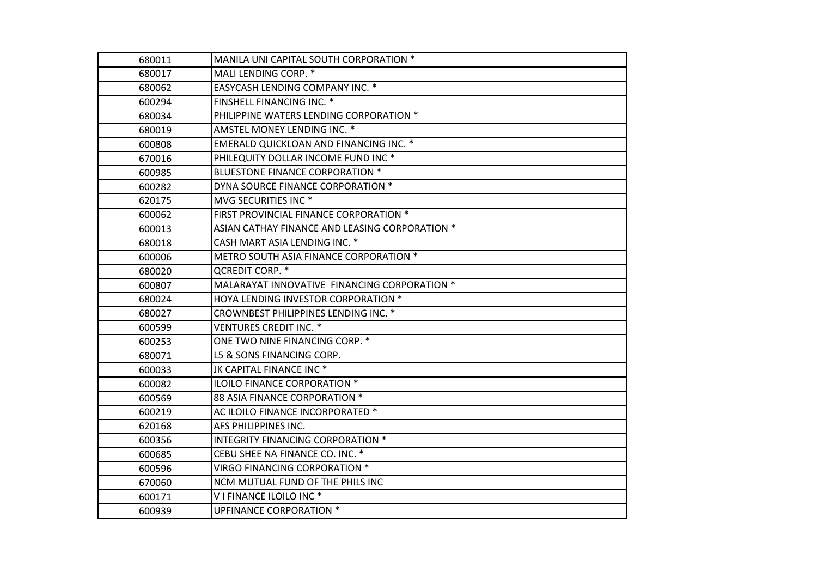| 680011 | MANILA UNI CAPITAL SOUTH CORPORATION *         |
|--------|------------------------------------------------|
| 680017 | MALI LENDING CORP. *                           |
| 680062 | <b>EASYCASH LENDING COMPANY INC. *</b>         |
| 600294 | FINSHELL FINANCING INC. *                      |
| 680034 | PHILIPPINE WATERS LENDING CORPORATION *        |
| 680019 | AMSTEL MONEY LENDING INC. *                    |
| 600808 | EMERALD QUICKLOAN AND FINANCING INC. *         |
| 670016 | PHILEQUITY DOLLAR INCOME FUND INC <sup>*</sup> |
| 600985 | BLUESTONE FINANCE CORPORATION *                |
| 600282 | DYNA SOURCE FINANCE CORPORATION *              |
| 620175 | MVG SECURITIES INC <sup>*</sup>                |
| 600062 | FIRST PROVINCIAL FINANCE CORPORATION *         |
| 600013 | ASIAN CATHAY FINANCE AND LEASING CORPORATION * |
| 680018 | CASH MART ASIA LENDING INC. *                  |
| 600006 | METRO SOUTH ASIA FINANCE CORPORATION *         |
| 680020 | <b>QCREDIT CORP. *</b>                         |
| 600807 | MALARAYAT INNOVATIVE FINANCING CORPORATION *   |
| 680024 | HOYA LENDING INVESTOR CORPORATION *            |
| 680027 | CROWNBEST PHILIPPINES LENDING INC. *           |
| 600599 | <b>VENTURES CREDIT INC. *</b>                  |
| 600253 | ONE TWO NINE FINANCING CORP. *                 |
| 680071 | L5 & SONS FINANCING CORP.                      |
| 600033 | JK CAPITAL FINANCE INC *                       |
| 600082 | ILOILO FINANCE CORPORATION *                   |
| 600569 | 88 ASIA FINANCE CORPORATION *                  |
| 600219 | AC ILOILO FINANCE INCORPORATED *               |
| 620168 | AFS PHILIPPINES INC.                           |
| 600356 | <b>INTEGRITY FINANCING CORPORATION *</b>       |
| 600685 | CEBU SHEE NA FINANCE CO. INC. *                |
| 600596 | <b>VIRGO FINANCING CORPORATION *</b>           |
| 670060 | NCM MUTUAL FUND OF THE PHILS INC               |
| 600171 | V I FINANCE ILOILO INC <sup>*</sup>            |
| 600939 | <b>UPFINANCE CORPORATION *</b>                 |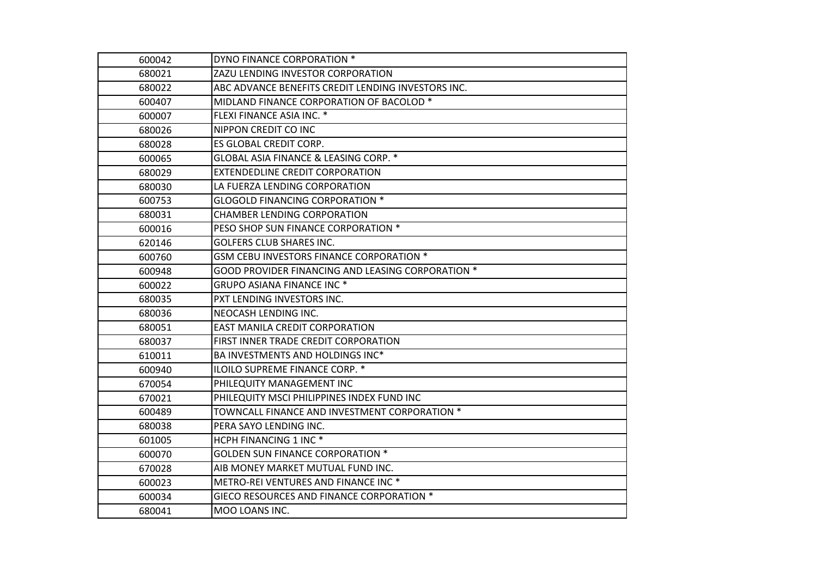| 600042 | DYNO FINANCE CORPORATION *                         |
|--------|----------------------------------------------------|
| 680021 | ZAZU LENDING INVESTOR CORPORATION                  |
| 680022 | ABC ADVANCE BENEFITS CREDIT LENDING INVESTORS INC. |
| 600407 | MIDLAND FINANCE CORPORATION OF BACOLOD *           |
| 600007 | FLEXI FINANCE ASIA INC. *                          |
| 680026 | NIPPON CREDIT CO INC                               |
| 680028 | ES GLOBAL CREDIT CORP.                             |
| 600065 | GLOBAL ASIA FINANCE & LEASING CORP. *              |
| 680029 | <b>EXTENDEDLINE CREDIT CORPORATION</b>             |
| 680030 | LA FUERZA LENDING CORPORATION                      |
| 600753 | <b>GLOGOLD FINANCING CORPORATION *</b>             |
| 680031 | <b>CHAMBER LENDING CORPORATION</b>                 |
| 600016 | PESO SHOP SUN FINANCE CORPORATION *                |
| 620146 | <b>GOLFERS CLUB SHARES INC.</b>                    |
| 600760 | GSM CEBU INVESTORS FINANCE CORPORATION *           |
| 600948 | GOOD PROVIDER FINANCING AND LEASING CORPORATION *  |
| 600022 | <b>GRUPO ASIANA FINANCE INC *</b>                  |
| 680035 | PXT LENDING INVESTORS INC.                         |
| 680036 | NEOCASH LENDING INC.                               |
| 680051 | EAST MANILA CREDIT CORPORATION                     |
| 680037 | FIRST INNER TRADE CREDIT CORPORATION               |
| 610011 | BA INVESTMENTS AND HOLDINGS INC*                   |
| 600940 | ILOILO SUPREME FINANCE CORP. *                     |
| 670054 | PHILEQUITY MANAGEMENT INC                          |
| 670021 | PHILEQUITY MSCI PHILIPPINES INDEX FUND INC         |
| 600489 | TOWNCALL FINANCE AND INVESTMENT CORPORATION *      |
| 680038 | PERA SAYO LENDING INC.                             |
| 601005 | HCPH FINANCING 1 INC <sup>*</sup>                  |
| 600070 | <b>GOLDEN SUN FINANCE CORPORATION *</b>            |
| 670028 | AIB MONEY MARKET MUTUAL FUND INC.                  |
| 600023 | METRO-REI VENTURES AND FINANCE INC <sup>*</sup>    |
| 600034 | GIECO RESOURCES AND FINANCE CORPORATION *          |
| 680041 | MOO LOANS INC.                                     |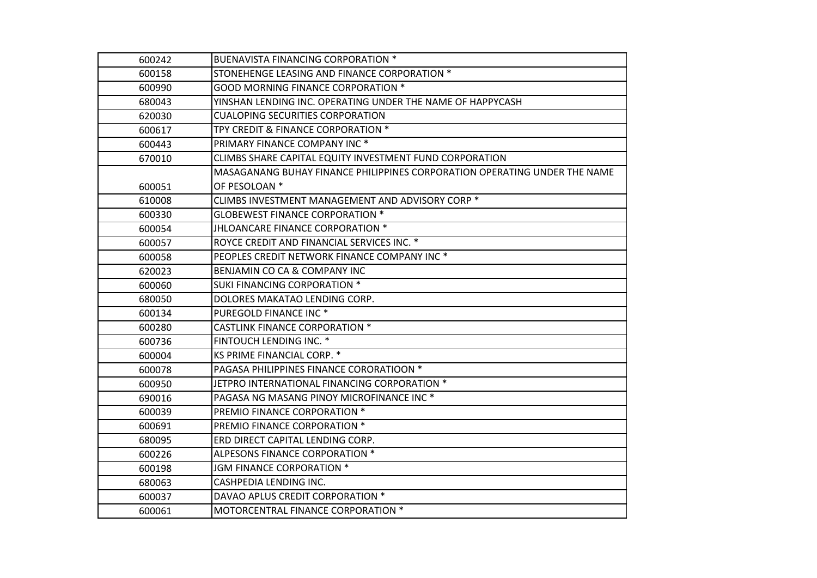| 600242 | <b>BUENAVISTA FINANCING CORPORATION *</b>                                 |
|--------|---------------------------------------------------------------------------|
| 600158 | STONEHENGE LEASING AND FINANCE CORPORATION *                              |
| 600990 | <b>GOOD MORNING FINANCE CORPORATION *</b>                                 |
| 680043 | YINSHAN LENDING INC. OPERATING UNDER THE NAME OF HAPPYCASH                |
| 620030 | <b>CUALOPING SECURITIES CORPORATION</b>                                   |
| 600617 | TPY CREDIT & FINANCE CORPORATION *                                        |
| 600443 | PRIMARY FINANCE COMPANY INC <sup>*</sup>                                  |
| 670010 | CLIMBS SHARE CAPITAL EQUITY INVESTMENT FUND CORPORATION                   |
|        | MASAGANANG BUHAY FINANCE PHILIPPINES CORPORATION OPERATING UNDER THE NAME |
| 600051 | OF PESOLOAN *                                                             |
| 610008 | CLIMBS INVESTMENT MANAGEMENT AND ADVISORY CORP <sup>*</sup>               |
| 600330 | <b>GLOBEWEST FINANCE CORPORATION *</b>                                    |
| 600054 | JHLOANCARE FINANCE CORPORATION *                                          |
| 600057 | ROYCE CREDIT AND FINANCIAL SERVICES INC. *                                |
| 600058 | PEOPLES CREDIT NETWORK FINANCE COMPANY INC <sup>*</sup>                   |
| 620023 | BENJAMIN CO CA & COMPANY INC                                              |
| 600060 | <b>SUKI FINANCING CORPORATION *</b>                                       |
| 680050 | DOLORES MAKATAO LENDING CORP.                                             |
| 600134 | PUREGOLD FINANCE INC <sup>*</sup>                                         |
| 600280 | <b>CASTLINK FINANCE CORPORATION *</b>                                     |
| 600736 | FINTOUCH LENDING INC. *                                                   |
| 600004 | KS PRIME FINANCIAL CORP. *                                                |
| 600078 | PAGASA PHILIPPINES FINANCE CORORATIOON *                                  |
| 600950 | JETPRO INTERNATIONAL FINANCING CORPORATION *                              |
| 690016 | PAGASA NG MASANG PINOY MICROFINANCE INC <sup>*</sup>                      |
| 600039 | PREMIO FINANCE CORPORATION *                                              |
| 600691 | PREMIO FINANCE CORPORATION *                                              |
| 680095 | ERD DIRECT CAPITAL LENDING CORP.                                          |
| 600226 | ALPESONS FINANCE CORPORATION *                                            |
| 600198 | JGM FINANCE CORPORATION *                                                 |
| 680063 | CASHPEDIA LENDING INC.                                                    |
| 600037 | DAVAO APLUS CREDIT CORPORATION *                                          |
| 600061 | MOTORCENTRAL FINANCE CORPORATION *                                        |
|        |                                                                           |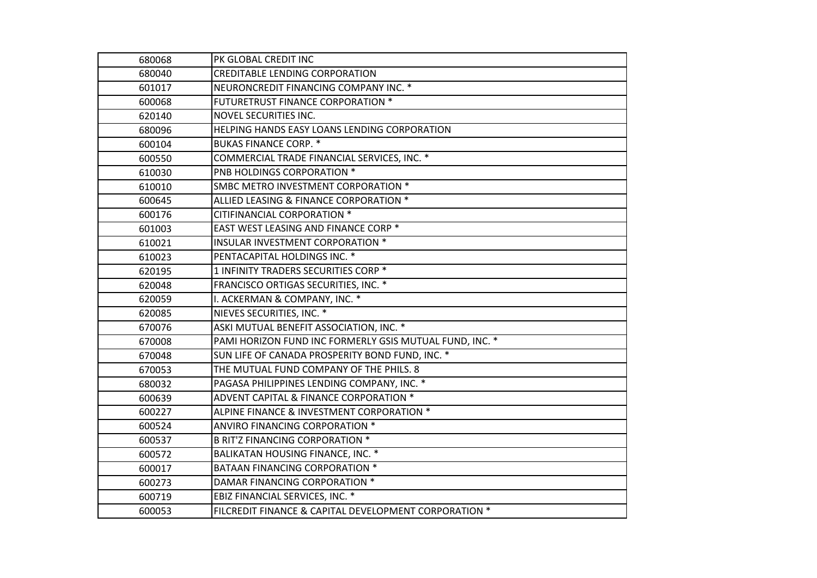| 680068 | PK GLOBAL CREDIT INC                                    |
|--------|---------------------------------------------------------|
| 680040 | <b>CREDITABLE LENDING CORPORATION</b>                   |
| 601017 | NEURONCREDIT FINANCING COMPANY INC. *                   |
| 600068 | <b>FUTURETRUST FINANCE CORPORATION *</b>                |
| 620140 | NOVEL SECURITIES INC.                                   |
| 680096 | HELPING HANDS EASY LOANS LENDING CORPORATION            |
| 600104 | <b>BUKAS FINANCE CORP. *</b>                            |
| 600550 | COMMERCIAL TRADE FINANCIAL SERVICES, INC. *             |
| 610030 | PNB HOLDINGS CORPORATION *                              |
| 610010 | SMBC METRO INVESTMENT CORPORATION *                     |
| 600645 | ALLIED LEASING & FINANCE CORPORATION *                  |
| 600176 | CITIFINANCIAL CORPORATION *                             |
| 601003 | EAST WEST LEASING AND FINANCE CORP *                    |
| 610021 | INSULAR INVESTMENT CORPORATION *                        |
| 610023 | PENTACAPITAL HOLDINGS INC. *                            |
| 620195 | 1 INFINITY TRADERS SECURITIES CORP *                    |
| 620048 | FRANCISCO ORTIGAS SECURITIES, INC. *                    |
| 620059 | I. ACKERMAN & COMPANY, INC. *                           |
| 620085 | NIEVES SECURITIES, INC. *                               |
| 670076 | ASKI MUTUAL BENEFIT ASSOCIATION, INC. *                 |
| 670008 | PAMI HORIZON FUND INC FORMERLY GSIS MUTUAL FUND, INC. * |
| 670048 | SUN LIFE OF CANADA PROSPERITY BOND FUND, INC. *         |
| 670053 | THE MUTUAL FUND COMPANY OF THE PHILS. 8                 |
| 680032 | PAGASA PHILIPPINES LENDING COMPANY, INC. *              |
| 600639 | ADVENT CAPITAL & FINANCE CORPORATION *                  |
| 600227 | ALPINE FINANCE & INVESTMENT CORPORATION *               |
| 600524 | ANVIRO FINANCING CORPORATION *                          |
| 600537 | <b>B RIT'Z FINANCING CORPORATION *</b>                  |
| 600572 | BALIKATAN HOUSING FINANCE, INC. *                       |
| 600017 | BATAAN FINANCING CORPORATION *                          |
| 600273 | DAMAR FINANCING CORPORATION *                           |
| 600719 | EBIZ FINANCIAL SERVICES, INC. *                         |
| 600053 | FILCREDIT FINANCE & CAPITAL DEVELOPMENT CORPORATION *   |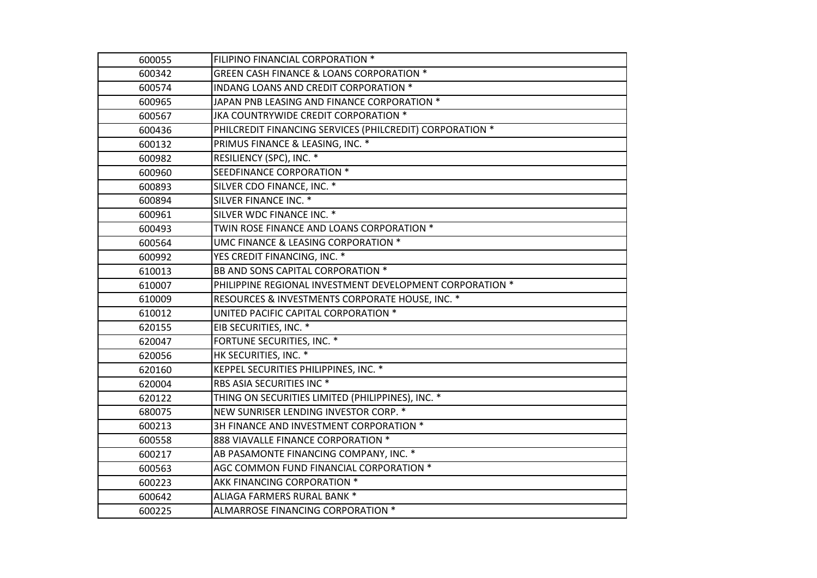| 600055 | FILIPINO FINANCIAL CORPORATION *                         |
|--------|----------------------------------------------------------|
| 600342 | <b>GREEN CASH FINANCE &amp; LOANS CORPORATION *</b>      |
| 600574 | INDANG LOANS AND CREDIT CORPORATION *                    |
| 600965 | JAPAN PNB LEASING AND FINANCE CORPORATION *              |
| 600567 | JKA COUNTRYWIDE CREDIT CORPORATION *                     |
| 600436 | PHILCREDIT FINANCING SERVICES (PHILCREDIT) CORPORATION * |
| 600132 | PRIMUS FINANCE & LEASING, INC. *                         |
| 600982 | RESILIENCY (SPC), INC. *                                 |
| 600960 | SEEDFINANCE CORPORATION *                                |
| 600893 | SILVER CDO FINANCE, INC. *                               |
| 600894 | SILVER FINANCE INC. *                                    |
| 600961 | SILVER WDC FINANCE INC. *                                |
| 600493 | TWIN ROSE FINANCE AND LOANS CORPORATION *                |
| 600564 | UMC FINANCE & LEASING CORPORATION *                      |
| 600992 | YES CREDIT FINANCING, INC. *                             |
| 610013 | BB AND SONS CAPITAL CORPORATION *                        |
| 610007 | PHILIPPINE REGIONAL INVESTMENT DEVELOPMENT CORPORATION * |
| 610009 | RESOURCES & INVESTMENTS CORPORATE HOUSE, INC. *          |
| 610012 | UNITED PACIFIC CAPITAL CORPORATION *                     |
| 620155 | EIB SECURITIES, INC. *                                   |
| 620047 | FORTUNE SECURITIES, INC. *                               |
| 620056 | HK SECURITIES, INC. *                                    |
| 620160 | KEPPEL SECURITIES PHILIPPINES, INC. *                    |
| 620004 | RBS ASIA SECURITIES INC <sup>*</sup>                     |
| 620122 | THING ON SECURITIES LIMITED (PHILIPPINES), INC. *        |
| 680075 | NEW SUNRISER LENDING INVESTOR CORP. *                    |
| 600213 | 3H FINANCE AND INVESTMENT CORPORATION *                  |
| 600558 | 888 VIAVALLE FINANCE CORPORATION *                       |
| 600217 | AB PASAMONTE FINANCING COMPANY, INC. *                   |
| 600563 | AGC COMMON FUND FINANCIAL CORPORATION *                  |
| 600223 | AKK FINANCING CORPORATION *                              |
| 600642 | ALIAGA FARMERS RURAL BANK *                              |
| 600225 | ALMARROSE FINANCING CORPORATION *                        |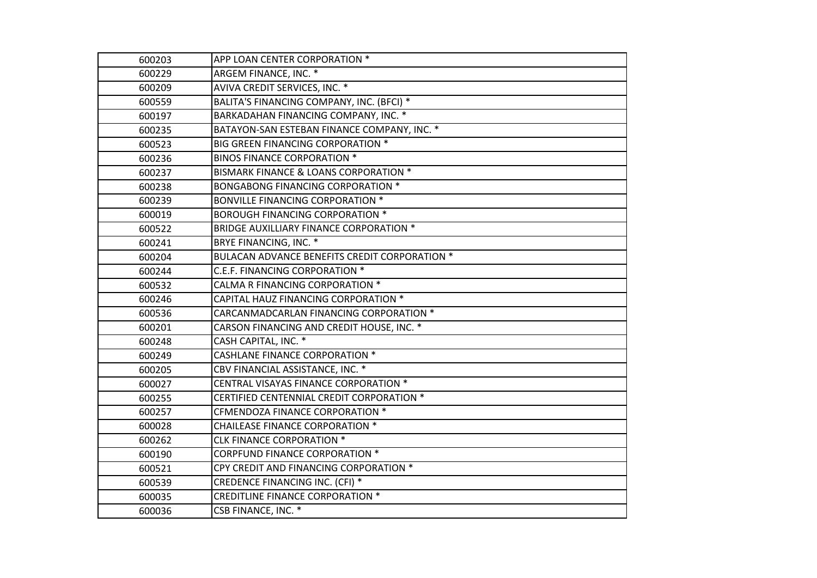| 600203 | APP LOAN CENTER CORPORATION *                  |
|--------|------------------------------------------------|
| 600229 | ARGEM FINANCE, INC. *                          |
| 600209 | AVIVA CREDIT SERVICES, INC. *                  |
| 600559 | BALITA'S FINANCING COMPANY, INC. (BFCI) *      |
| 600197 | BARKADAHAN FINANCING COMPANY, INC. *           |
| 600235 | BATAYON-SAN ESTEBAN FINANCE COMPANY, INC. *    |
| 600523 | BIG GREEN FINANCING CORPORATION *              |
| 600236 | <b>BINOS FINANCE CORPORATION *</b>             |
| 600237 | BISMARK FINANCE & LOANS CORPORATION *          |
| 600238 | <b>BONGABONG FINANCING CORPORATION *</b>       |
| 600239 | <b>BONVILLE FINANCING CORPORATION *</b>        |
| 600019 | <b>BOROUGH FINANCING CORPORATION *</b>         |
| 600522 | <b>BRIDGE AUXILLIARY FINANCE CORPORATION *</b> |
| 600241 | BRYE FINANCING, INC. *                         |
| 600204 | BULACAN ADVANCE BENEFITS CREDIT CORPORATION *  |
| 600244 | C.E.F. FINANCING CORPORATION *                 |
| 600532 | CALMA R FINANCING CORPORATION *                |
| 600246 | CAPITAL HAUZ FINANCING CORPORATION *           |
| 600536 | CARCANMADCARLAN FINANCING CORPORATION *        |
| 600201 | CARSON FINANCING AND CREDIT HOUSE, INC. *      |
| 600248 | CASH CAPITAL, INC. *                           |
| 600249 | <b>CASHLANE FINANCE CORPORATION *</b>          |
| 600205 | CBV FINANCIAL ASSISTANCE, INC. *               |
| 600027 | CENTRAL VISAYAS FINANCE CORPORATION *          |
| 600255 | CERTIFIED CENTENNIAL CREDIT CORPORATION *      |
| 600257 | CFMENDOZA FINANCE CORPORATION *                |
| 600028 | CHAILEASE FINANCE CORPORATION *                |
| 600262 | <b>CLK FINANCE CORPORATION *</b>               |
| 600190 | CORPFUND FINANCE CORPORATION *                 |
| 600521 | CPY CREDIT AND FINANCING CORPORATION *         |
| 600539 | CREDENCE FINANCING INC. (CFI) *                |
| 600035 | <b>CREDITLINE FINANCE CORPORATION *</b>        |
| 600036 | CSB FINANCE, INC. *                            |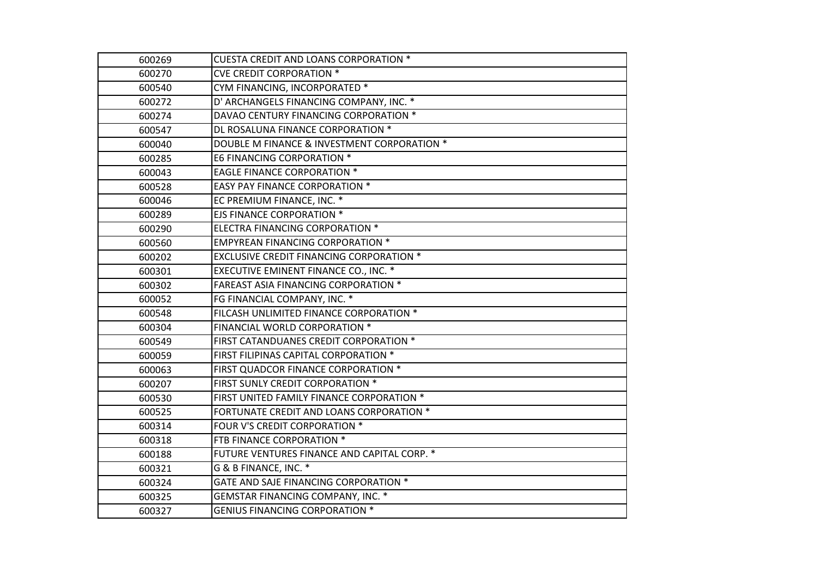| 600269 | <b>CUESTA CREDIT AND LOANS CORPORATION *</b>    |
|--------|-------------------------------------------------|
| 600270 | <b>CVE CREDIT CORPORATION *</b>                 |
| 600540 | CYM FINANCING, INCORPORATED *                   |
| 600272 | D' ARCHANGELS FINANCING COMPANY, INC. *         |
| 600274 | DAVAO CENTURY FINANCING CORPORATION *           |
| 600547 | DL ROSALUNA FINANCE CORPORATION *               |
| 600040 | DOUBLE M FINANCE & INVESTMENT CORPORATION *     |
| 600285 | E6 FINANCING CORPORATION *                      |
| 600043 | <b>EAGLE FINANCE CORPORATION *</b>              |
| 600528 | EASY PAY FINANCE CORPORATION *                  |
| 600046 | EC PREMIUM FINANCE, INC. *                      |
| 600289 | <b>EJS FINANCE CORPORATION *</b>                |
| 600290 | ELECTRA FINANCING CORPORATION *                 |
| 600560 | <b>EMPYREAN FINANCING CORPORATION *</b>         |
| 600202 | <b>EXCLUSIVE CREDIT FINANCING CORPORATION *</b> |
| 600301 | EXECUTIVE EMINENT FINANCE CO., INC. *           |
| 600302 | <b>FAREAST ASIA FINANCING CORPORATION *</b>     |
| 600052 | FG FINANCIAL COMPANY, INC. *                    |
| 600548 | FILCASH UNLIMITED FINANCE CORPORATION *         |
| 600304 | FINANCIAL WORLD CORPORATION *                   |
| 600549 | FIRST CATANDUANES CREDIT CORPORATION *          |
| 600059 | FIRST FILIPINAS CAPITAL CORPORATION *           |
| 600063 | FIRST QUADCOR FINANCE CORPORATION *             |
| 600207 | FIRST SUNLY CREDIT CORPORATION *                |
| 600530 | FIRST UNITED FAMILY FINANCE CORPORATION *       |
| 600525 | FORTUNATE CREDIT AND LOANS CORPORATION *        |
| 600314 | FOUR V'S CREDIT CORPORATION *                   |
| 600318 | FTB FINANCE CORPORATION *                       |
| 600188 | FUTURE VENTURES FINANCE AND CAPITAL CORP. *     |
| 600321 | G & B FINANCE, INC. *                           |
| 600324 | GATE AND SAJE FINANCING CORPORATION *           |
| 600325 | GEMSTAR FINANCING COMPANY, INC. *               |
| 600327 | <b>GENIUS FINANCING CORPORATION *</b>           |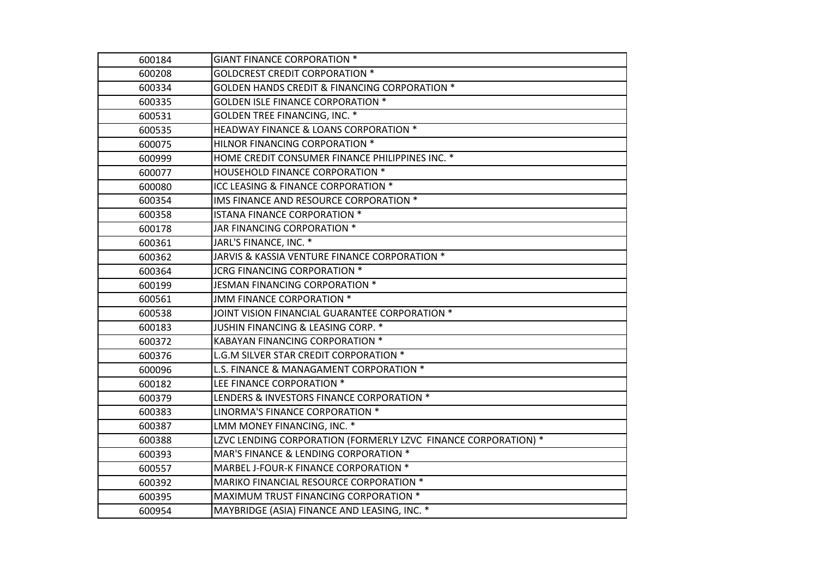| 600184 | <b>GIANT FINANCE CORPORATION *</b>                             |
|--------|----------------------------------------------------------------|
| 600208 | <b>GOLDCREST CREDIT CORPORATION *</b>                          |
| 600334 | <b>GOLDEN HANDS CREDIT &amp; FINANCING CORPORATION *</b>       |
| 600335 | <b>GOLDEN ISLE FINANCE CORPORATION *</b>                       |
| 600531 | GOLDEN TREE FINANCING, INC. *                                  |
| 600535 | HEADWAY FINANCE & LOANS CORPORATION *                          |
| 600075 | HILNOR FINANCING CORPORATION *                                 |
| 600999 | HOME CREDIT CONSUMER FINANCE PHILIPPINES INC. *                |
| 600077 | HOUSEHOLD FINANCE CORPORATION *                                |
| 600080 | ICC LEASING & FINANCE CORPORATION *                            |
| 600354 | IMS FINANCE AND RESOURCE CORPORATION *                         |
| 600358 | ISTANA FINANCE CORPORATION *                                   |
| 600178 | JAR FINANCING CORPORATION *                                    |
| 600361 | JARL'S FINANCE, INC. *                                         |
| 600362 | JARVIS & KASSIA VENTURE FINANCE CORPORATION *                  |
| 600364 | JCRG FINANCING CORPORATION *                                   |
| 600199 | JESMAN FINANCING CORPORATION *                                 |
| 600561 | JMM FINANCE CORPORATION *                                      |
| 600538 | JOINT VISION FINANCIAL GUARANTEE CORPORATION *                 |
| 600183 | JUSHIN FINANCING & LEASING CORP. *                             |
| 600372 | KABAYAN FINANCING CORPORATION *                                |
| 600376 | L.G.M SILVER STAR CREDIT CORPORATION *                         |
| 600096 | L.S. FINANCE & MANAGAMENT CORPORATION *                        |
| 600182 | LEE FINANCE CORPORATION *                                      |
| 600379 | LENDERS & INVESTORS FINANCE CORPORATION *                      |
| 600383 | LINORMA'S FINANCE CORPORATION *                                |
| 600387 | LMM MONEY FINANCING, INC. *                                    |
| 600388 | LZVC LENDING CORPORATION (FORMERLY LZVC FINANCE CORPORATION) * |
| 600393 | MAR'S FINANCE & LENDING CORPORATION *                          |
| 600557 | MARBEL J-FOUR-K FINANCE CORPORATION *                          |
| 600392 | MARIKO FINANCIAL RESOURCE CORPORATION *                        |
| 600395 | MAXIMUM TRUST FINANCING CORPORATION *                          |
| 600954 | MAYBRIDGE (ASIA) FINANCE AND LEASING, INC. *                   |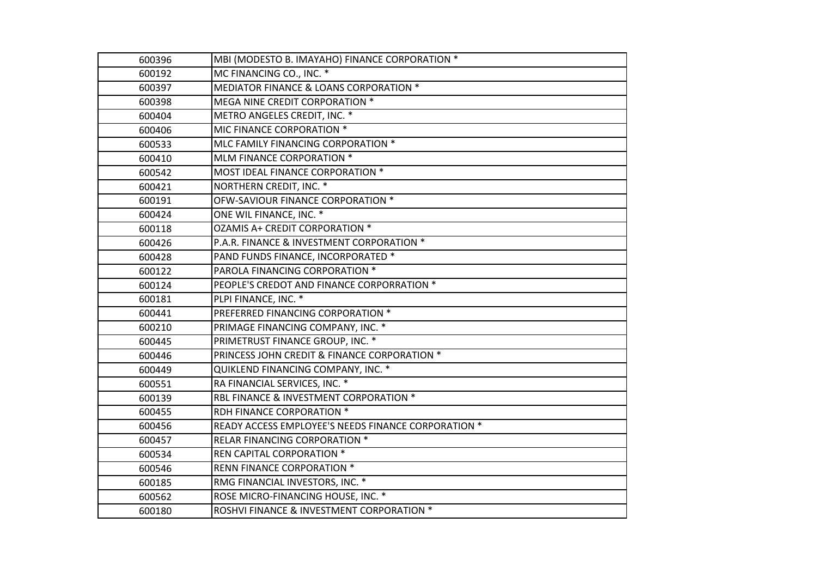| 600396 | MBI (MODESTO B. IMAYAHO) FINANCE CORPORATION *      |
|--------|-----------------------------------------------------|
| 600192 | MC FINANCING CO., INC. *                            |
| 600397 | MEDIATOR FINANCE & LOANS CORPORATION *              |
| 600398 | MEGA NINE CREDIT CORPORATION *                      |
| 600404 | METRO ANGELES CREDIT, INC. *                        |
| 600406 | MIC FINANCE CORPORATION *                           |
| 600533 | MLC FAMILY FINANCING CORPORATION *                  |
| 600410 | MLM FINANCE CORPORATION *                           |
| 600542 | MOST IDEAL FINANCE CORPORATION *                    |
| 600421 | NORTHERN CREDIT, INC. *                             |
| 600191 | OFW-SAVIOUR FINANCE CORPORATION *                   |
| 600424 | ONE WIL FINANCE, INC. *                             |
| 600118 | OZAMIS A+ CREDIT CORPORATION *                      |
| 600426 | P.A.R. FINANCE & INVESTMENT CORPORATION *           |
| 600428 | PAND FUNDS FINANCE, INCORPORATED *                  |
| 600122 | PAROLA FINANCING CORPORATION *                      |
| 600124 | PEOPLE'S CREDOT AND FINANCE CORPORRATION *          |
| 600181 | PLPI FINANCE, INC. *                                |
| 600441 | PREFERRED FINANCING CORPORATION *                   |
| 600210 | PRIMAGE FINANCING COMPANY, INC. *                   |
| 600445 | PRIMETRUST FINANCE GROUP, INC. *                    |
| 600446 | PRINCESS JOHN CREDIT & FINANCE CORPORATION *        |
| 600449 | QUIKLEND FINANCING COMPANY, INC. *                  |
| 600551 | RA FINANCIAL SERVICES, INC. *                       |
| 600139 | RBL FINANCE & INVESTMENT CORPORATION *              |
| 600455 | RDH FINANCE CORPORATION *                           |
| 600456 | READY ACCESS EMPLOYEE'S NEEDS FINANCE CORPORATION * |
| 600457 | RELAR FINANCING CORPORATION *                       |
| 600534 | REN CAPITAL CORPORATION *                           |
| 600546 | RENN FINANCE CORPORATION *                          |
| 600185 | RMG FINANCIAL INVESTORS, INC. *                     |
| 600562 | ROSE MICRO-FINANCING HOUSE, INC. *                  |
| 600180 | ROSHVI FINANCE & INVESTMENT CORPORATION *           |